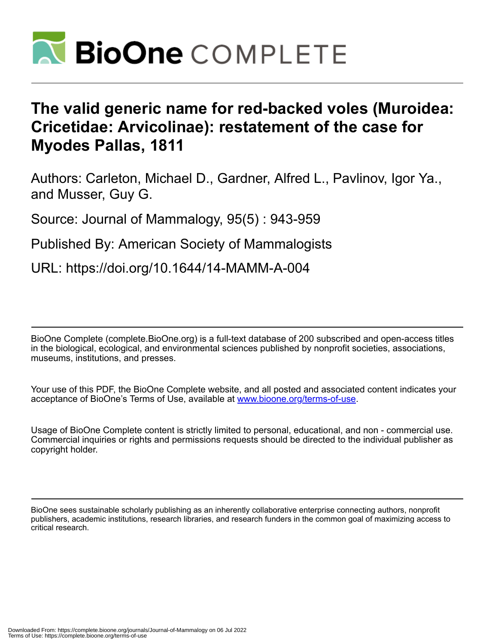

# **The valid generic name for red-backed voles (Muroidea: Cricetidae: Arvicolinae): restatement of the case for Myodes Pallas, 1811**

Authors: Carleton, Michael D., Gardner, Alfred L., Pavlinov, Igor Ya., and Musser, Guy G.

Source: Journal of Mammalogy, 95(5) : 943-959

Published By: American Society of Mammalogists

URL: https://doi.org/10.1644/14-MAMM-A-004

BioOne Complete (complete.BioOne.org) is a full-text database of 200 subscribed and open-access titles in the biological, ecological, and environmental sciences published by nonprofit societies, associations, museums, institutions, and presses.

Your use of this PDF, the BioOne Complete website, and all posted and associated content indicates your acceptance of BioOne's Terms of Use, available at www.bioone.org/terms-of-use.

Usage of BioOne Complete content is strictly limited to personal, educational, and non - commercial use. Commercial inquiries or rights and permissions requests should be directed to the individual publisher as copyright holder.

BioOne sees sustainable scholarly publishing as an inherently collaborative enterprise connecting authors, nonprofit publishers, academic institutions, research libraries, and research funders in the common goal of maximizing access to critical research.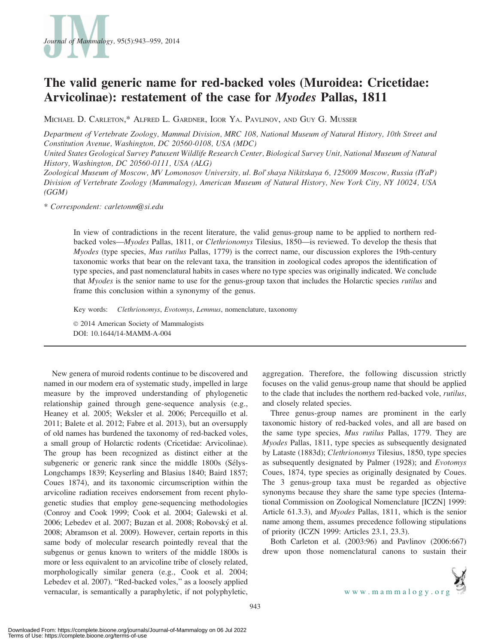

## The valid generic name for red-backed voles (Muroidea: Cricetidae: Arvicolinae): restatement of the case for Myodes Pallas, 1811

MICHAEL D. CARLETON,\* ALFRED L. GARDNER, IGOR YA. PAVLINOV, AND GUY G. MUSSER

Department of Vertebrate Zoology, Mammal Division, MRC 108, National Museum of Natural History, 10th Street and Constitution Avenue, Washington, DC 20560-0108, USA (MDC)

United States Geological Survey Patuxent Wildlife Research Center, Biological Survey Unit, National Museum of Natural History, Washington, DC 20560-0111, USA (ALG)

Zoological Museum of Moscow, MV Lomonosov University, ul. Bol'shaya Nikitskaya 6, 125009 Moscow, Russia (IYaP) Division of Vertebrate Zoology (Mammalogy), American Museum of Natural History, New York City, NY 10024, USA  $(GGM)$ 

\* Correspondent: carletonm@si.edu

In view of contradictions in the recent literature, the valid genus-group name to be applied to northern redbacked voles—Myodes Pallas, 1811, or Clethrionomys Tilesius, 1850—is reviewed. To develop the thesis that Myodes (type species, Mus rutilus Pallas, 1779) is the correct name, our discussion explores the 19th-century taxonomic works that bear on the relevant taxa, the transition in zoological codes apropos the identification of type species, and past nomenclatural habits in cases where no type species was originally indicated. We conclude that Myodes is the senior name to use for the genus-group taxon that includes the Holarctic species rutilus and frame this conclusion within a synonymy of the genus.

Key words: Clethrionomys, Evotomys, Lemmus, nomenclature, taxonomy

- 2014 American Society of Mammalogists DOI: 10.1644/14-MAMM-A-004

New genera of muroid rodents continue to be discovered and named in our modern era of systematic study, impelled in large measure by the improved understanding of phylogenetic relationship gained through gene-sequence analysis (e.g., Heaney et al. 2005; Weksler et al. 2006; Percequillo et al. 2011; Balete et al. 2012; Fabre et al. 2013), but an oversupply of old names has burdened the taxonomy of red-backed voles, a small group of Holarctic rodents (Cricetidae: Arvicolinae). The group has been recognized as distinct either at the subgeneric or generic rank since the middle 1800s (Sélys-Longchamps 1839; Keyserling and Blasius 1840; Baird 1857; Coues 1874), and its taxonomic circumscription within the arvicoline radiation receives endorsement from recent phylogenetic studies that employ gene-sequencing methodologies (Conroy and Cook 1999; Cook et al. 2004; Galewski et al. 2006; Lebedev et al. 2007; Buzan et al. 2008; Robovský et al. 2008; Abramson et al. 2009). However, certain reports in this same body of molecular research pointedly reveal that the subgenus or genus known to writers of the middle 1800s is more or less equivalent to an arvicoline tribe of closely related, morphologically similar genera (e.g., Cook et al. 2004; Lebedev et al. 2007). ''Red-backed voles,'' as a loosely applied vernacular, is semantically a paraphyletic, if not polyphyletic, aggregation. Therefore, the following discussion strictly focuses on the valid genus-group name that should be applied to the clade that includes the northern red-backed vole, rutilus, and closely related species.

Three genus-group names are prominent in the early taxonomic history of red-backed voles, and all are based on the same type species, Mus rutilus Pallas, 1779. They are Myodes Pallas, 1811, type species as subsequently designated by Lataste (1883d); Clethrionomys Tilesius, 1850, type species as subsequently designated by Palmer (1928); and Evotomys Coues, 1874, type species as originally designated by Coues. The 3 genus-group taxa must be regarded as objective synonyms because they share the same type species (International Commission on Zoological Nomenclature [ICZN] 1999: Article 61.3.3), and Myodes Pallas, 1811, which is the senior name among them, assumes precedence following stipulations of priority (ICZN 1999: Articles 23.1, 23.3).

Both Carleton et al. (2003:96) and Pavlinov (2006:667) drew upon those nomenclatural canons to sustain their

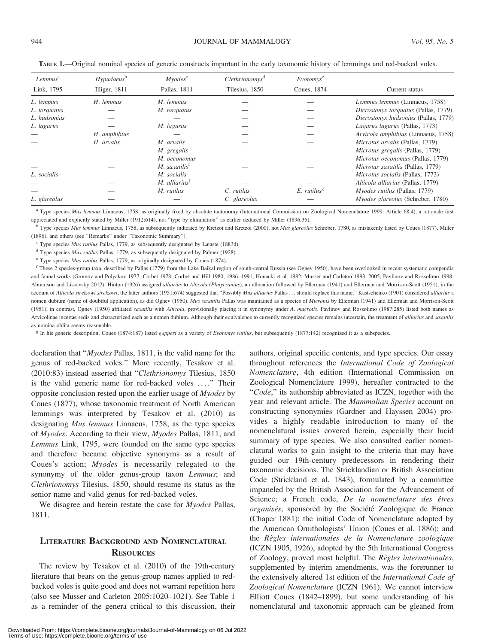| Lemma <sup>a</sup><br>Link, 1795 | $H$ ypudaeus $^{\rm b}$<br>Illiger, 1811 | Myodes <sup>c</sup><br>Pallas, 1811 | Clethrionomys <sup>a</sup><br>Tilesius, 1850 | Evotomys <sup>e</sup><br>Coues, 1874 | Current status                         |
|----------------------------------|------------------------------------------|-------------------------------------|----------------------------------------------|--------------------------------------|----------------------------------------|
|                                  |                                          |                                     |                                              |                                      |                                        |
| L. torquatus                     |                                          | M. torquatus                        |                                              |                                      | Dicrostonyx torquatus (Pallas, 1779)   |
| L. hudsonius                     |                                          |                                     |                                              |                                      | Dicrostonyx hudsonius (Pallas, 1779)   |
| L. lagurus                       |                                          | M. lagurus                          |                                              |                                      | Lagurus lagurus (Pallas, 1773)         |
|                                  | H. amphibius                             |                                     |                                              |                                      | Arvicola amphibius (Linnaeus, 1758)    |
|                                  | H. arvalis                               | M. arvalis                          |                                              |                                      | <i>Microtus arvalis</i> (Pallas, 1779) |
|                                  |                                          | M. gregalis                         |                                              |                                      | Microtus gregalis (Pallas, 1779)       |
|                                  |                                          | M. oeconomus                        |                                              |                                      | Microtus oeconomus (Pallas, 1779)      |
|                                  |                                          | M. saxatilis <sup>t</sup>           |                                              |                                      | Microtus saxatilis (Pallas, 1779)      |
| L. socialis                      |                                          | M. socialis                         |                                              |                                      | Microtus socialis (Pallas, 1773)       |
|                                  |                                          | $M.$ alliarius <sup>t</sup>         |                                              |                                      | Alticola alliarius (Pallas, 1779)      |
|                                  |                                          | M. rutilus                          | $C.$ rutilus                                 | $E.$ rutilus $\mathbf{g}$            | Myodes rutilus (Pallas, 1779)          |
| L. glareolus                     |                                          |                                     | C. glareolus                                 |                                      | Myodes glareolus (Schreber, 1780)      |

TABLE 1.—Original nominal species of generic constructs important in the early taxonomic history of lemmings and red-backed voles.

<sup>a</sup> Type species Mus lemmus Linnaeus, 1758, as originally fixed by absolute tautonomy (International Commission on Zoological Nomenclature 1999: Article 68.4), a rationale first appreciated and explicitly stated by Miller (1912:614), not ''type by elimination'' as earlier deduced by Miller (1896:36).

Type species Mus lemmus Linnaeus, 1758, as subsequently indicated by Kretzoi and Kretzoi (2000), not Mus glareolus Schreber, 1780, as mistakenly listed by Coues (1877), Miller (1896), and others (see ''Remarks'' under ''Taxonomic Summary'').

 $\textdegree$  Type species Mus rutilus Pallas, 1779, as subsequently designated by Lataste (1883d).

<sup>d</sup> Type species Mus rutilus Pallas, 1779, as subsequently designated by Palmer (1928).

<sup>e</sup> Type species Mus rutilus Pallas, 1779, as originally designated by Coues (1874).

<sup>f</sup> These 2 species-group taxa, described by Pallas (1779) from the Lake Baikal region of south-central Russia (see Ognev 1950), have been overlooked in recent systematic compendia and faunal works (Gromov and Polyakov 1977; Corbet 1978; Corbet and Hill 1980, 1986, 1991; Honacki et al. 1982; Musser and Carleton 1993, 2005; Pavlinov and Rossolimo 1998; Abramson and Lissovsky 2012). Hinton (1926) assigned alliarius to Alticola (Platycranius), an allocation followed by Ellerman (1941) and Ellerman and Morrison-Scott (1951); in the account of Alticola strelzowi strelzowi, the latter authors (1951:674) suggested that "Possibly Mus alliarius Pallas ... should replace this name." Kastschenko (1901) considered alliarius a nomen dubium (name of doubtful application), as did Ognev (1950). Mus saxatilis Pallas was maintained as a species of Microtus by Ellerman (1941) and Ellerman and Morrison-Scott (1951); in contrast, Ognev (1950) affiliated saxatilis with Alticola, provisionally placing it in synonymy under A. macrotis. Pavlinov and Rossolimo (1987:285) listed both names as Arvicolinae incertae sedis and characterized each as a nomen dubium. Although their equivalence to currently recognized species remains uncertain, the treatment of alliarius and saxatilis as nomina oblita seems reasonable.

<sup>g</sup> In his generic description, Coues (1874:187) listed *gapperi* as a variety of Evotomys rutilus, but subsequently (1877:142) recognized it as a subspecies.

declaration that ''Myodes Pallas, 1811, is the valid name for the genus of red-backed voles.'' More recently, Tesakov et al. (2010:83) instead asserted that ''Clethrionomys Tilesius, 1850 is the valid generic name for red-backed voles ...." Their opposite conclusion rested upon the earlier usage of Myodes by Coues (1877), whose taxonomic treatment of North American lemmings was interpreted by Tesakov et al. (2010) as designating Mus lemmus Linnaeus, 1758, as the type species of Myodes. According to their view, Myodes Pallas, 1811, and Lemmus Link, 1795, were founded on the same type species and therefore became objective synonyms as a result of Coues's action; Myodes is necessarily relegated to the synonymy of the older genus-group taxon Lemmus; and Clethrionomys Tilesius, 1850, should resume its status as the senior name and valid genus for red-backed voles.

We disagree and herein restate the case for *Myodes* Pallas, 1811.

#### LITERATURE BACKGROUND AND NOMENCLATURAL **RESOURCES**

The review by Tesakov et al. (2010) of the 19th-century literature that bears on the genus-group names applied to redbacked voles is quite good and does not warrant repetition here (also see Musser and Carleton 2005:1020–1021). See Table 1 as a reminder of the genera critical to this discussion, their authors, original specific contents, and type species. Our essay throughout references the International Code of Zoological Nomenclature, 4th edition (International Commission on Zoological Nomenclature 1999), hereafter contracted to the "Code," its authorship abbreviated as ICZN, together with the year and relevant article. The Mammalian Species account on constructing synonymies (Gardner and Hayssen 2004) provides a highly readable introduction to many of the nomenclatural issues covered herein, especially their lucid summary of type species. We also consulted earlier nomenclatural works to gain insight to the criteria that may have guided our 19th-century predecessors in rendering their taxonomic decisions. The Stricklandian or British Association Code (Strickland et al. 1843), formulated by a committee impaneled by the British Association for the Advancement of Science; a French code, De la nomenclature des êtres organisés, sponsored by the Société Zoologique de France (Chaper 1881); the initial Code of Nomenclature adopted by the American Ornithologists' Union (Coues et al. 1886); and the Règles internationales de la Nomenclature zoologique (ICZN 1905, 1926), adopted by the 5th International Congress of Zoology, proved most helpful. The Règles internationales, supplemented by interim amendments, was the forerunner to the extensively altered 1st edition of the International Code of Zoological Nomenclature (ICZN 1961). We cannot interview Elliott Coues (1842–1899), but some understanding of his nomenclatural and taxonomic approach can be gleaned from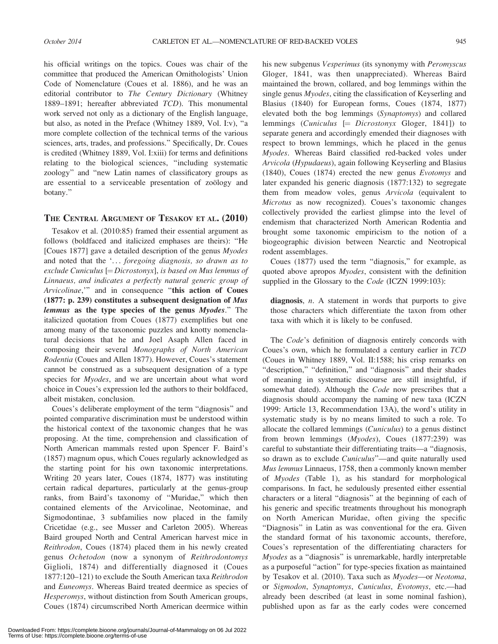his official writings on the topics. Coues was chair of the committee that produced the American Ornithologists' Union Code of Nomenclature (Coues et al. 1886), and he was an editorial contributor to The Century Dictionary (Whitney 1889–1891; hereafter abbreviated TCD). This monumental work served not only as a dictionary of the English language, but also, as noted in the Preface (Whitney 1889, Vol. I:v), ''a more complete collection of the technical terms of the various sciences, arts, trades, and professions.'' Specifically, Dr. Coues is credited (Whitney 1889, Vol. I:xiii) for terms and definitions relating to the biological sciences, ''including systematic zoology'' and ''new Latin names of classificatory groups as are essential to a serviceable presentation of zoology and botany.''

#### THE CENTRAL ARGUMENT OF TESAKOV ET AL. (2010)

Tesakov et al. (2010:85) framed their essential argument as follows (boldfaced and italicized emphases are theirs): ''He [Coues 1877] gave a detailed description of the genus Myodes and noted that the '... foregoing diagnosis, so drawn as to exclude Cuniculus  $[=Dicrostonyx]$ , is based on Mus lemmus of Linnaeus, and indicates a perfectly natural generic group of Arvicolinae,''' and in consequence ''this action of Coues (1877: p. 239) constitutes a subsequent designation of Mus lemmus as the type species of the genus Myodes.'' The italicized quotation from Coues (1877) exemplifies but one among many of the taxonomic puzzles and knotty nomenclatural decisions that he and Joel Asaph Allen faced in composing their several Monographs of North American Rodentia (Coues and Allen 1877). However, Coues's statement cannot be construed as a subsequent designation of a type species for Myodes, and we are uncertain about what word choice in Coues's expression led the authors to their boldfaced, albeit mistaken, conclusion.

Coues's deliberate employment of the term ''diagnosis'' and pointed comparative discrimination must be understood within the historical context of the taxonomic changes that he was proposing. At the time, comprehension and classification of North American mammals rested upon Spencer F. Baird's (1857) magnum opus, which Coues regularly acknowledged as the starting point for his own taxonomic interpretations. Writing 20 years later, Coues (1874, 1877) was instituting certain radical departures, particularly at the genus-group ranks, from Baird's taxonomy of ''Muridae,'' which then contained elements of the Arvicolinae, Neotominae, and Sigmodontinae, 3 subfamilies now placed in the family Cricetidae (e.g., see Musser and Carleton 2005). Whereas Baird grouped North and Central American harvest mice in Reithrodon, Coues (1874) placed them in his newly created genus Ochetodon (now a synonym of Reithrodontomys Giglioli, 1874) and differentially diagnosed it (Coues 1877:120–121) to exclude the South American taxa Reithrodon and Euneomys. Whereas Baird treated deermice as species of Hesperomys, without distinction from South American groups, Coues (1874) circumscribed North American deermice within his new subgenus Vesperimus (its synonymy with Peromyscus Gloger, 1841, was then unappreciated). Whereas Baird maintained the brown, collared, and bog lemmings within the single genus Myodes, citing the classification of Keyserling and Blasius (1840) for European forms, Coues (1874, 1877) elevated both the bog lemmings (Synaptomys) and collared lemmings (*Cuniculus*  $[= *DirectoryX* Gloger, 1841]$ ) to separate genera and accordingly emended their diagnoses with respect to brown lemmings, which he placed in the genus Myodes. Whereas Baird classified red-backed voles under Arvicola (Hypudaeus), again following Keyserling and Blasius (1840), Coues (1874) erected the new genus Evotomys and later expanded his generic diagnosis (1877:132) to segregate them from meadow voles, genus Arvicola (equivalent to Microtus as now recognized). Coues's taxonomic changes collectively provided the earliest glimpse into the level of endemism that characterized North American Rodentia and brought some taxonomic empiricism to the notion of a biogeographic division between Nearctic and Neotropical rodent assemblages.

Coues (1877) used the term ''diagnosis,'' for example, as quoted above apropos Myodes, consistent with the definition supplied in the Glossary to the *Code* (ICZN 1999:103):

diagnosis,  $n$ . A statement in words that purports to give those characters which differentiate the taxon from other taxa with which it is likely to be confused.

The Code's definition of diagnosis entirely concords with Coues's own, which he formulated a century earlier in TCD (Coues in Whitney 1889, Vol. II:1588; his crisp remarks on "description," "definition," and "diagnosis" and their shades of meaning in systematic discourse are still insightful, if somewhat dated). Although the Code now prescribes that a diagnosis should accompany the naming of new taxa (ICZN 1999: Article 13, Recommendation 13A), the word's utility in systematic study is by no means limited to such a role. To allocate the collared lemmings (Cuniculus) to a genus distinct from brown lemmings (Myodes), Coues (1877:239) was careful to substantiate their differentiating traits—a ''diagnosis, so drawn as to exclude Cuniculus''—and quite naturally used Mus lemmus Linnaeus, 1758, then a commonly known member of Myodes (Table 1), as his standard for morphological comparisons. In fact, he sedulously presented either essential characters or a literal ''diagnosis'' at the beginning of each of his generic and specific treatments throughout his monograph on North American Muridae, often giving the specific ''Diagnosis'' in Latin as was conventional for the era. Given the standard format of his taxonomic accounts, therefore, Coues's representation of the differentiating characters for Myodes as a ''diagnosis'' is unremarkable, hardly interpretable as a purposeful ''action'' for type-species fixation as maintained by Tesakov et al. (2010). Taxa such as Myodes—or Neotoma, or Sigmodon, Synaptomys, Cuniculus, Evotomys, etc.—had already been described (at least in some nominal fashion), published upon as far as the early codes were concerned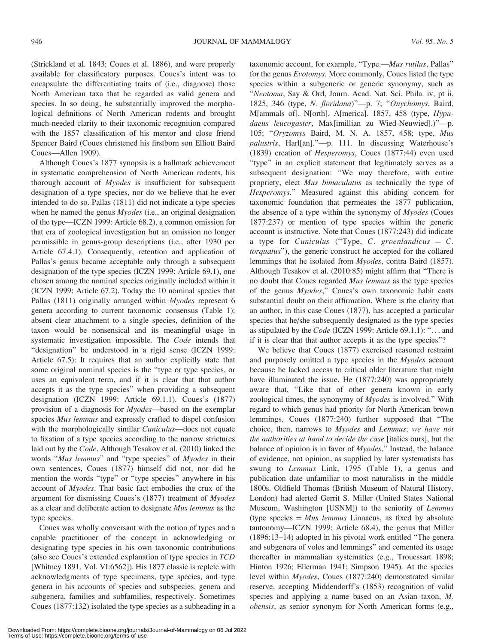(Strickland et al. 1843; Coues et al. 1886), and were properly available for classificatory purposes. Coues's intent was to encapsulate the differentiating traits of (i.e., diagnose) those North American taxa that he regarded as valid genera and species. In so doing, he substantially improved the morphological definitions of North American rodents and brought much-needed clarity to their taxonomic recognition compared with the 1857 classification of his mentor and close friend Spencer Baird (Coues christened his firstborn son Elliott Baird Coues—Allen 1909).

Although Coues's 1877 synopsis is a hallmark achievement in systematic comprehension of North American rodents, his thorough account of *Myodes* is insufficient for subsequent designation of a type species, nor do we believe that he ever intended to do so. Pallas (1811) did not indicate a type species when he named the genus *Myodes* (i.e., an original designation of the type—ICZN 1999: Article 68.2), a common omission for that era of zoological investigation but an omission no longer permissible in genus-group descriptions (i.e., after 1930 per Article 67.4.1). Consequently, retention and application of Pallas's genus became acceptable only through a subsequent designation of the type species (ICZN 1999: Article 69.1), one chosen among the nominal species originally included within it (ICZN 1999: Article 67.2). Today the 10 nominal species that Pallas (1811) originally arranged within *Myodes* represent 6 genera according to current taxonomic consensus (Table 1); absent clear attachment to a single species, definition of the taxon would be nonsensical and its meaningful usage in systematic investigation impossible. The Code intends that "designation" be understood in a rigid sense (ICZN 1999: Article 67.5): It requires that an author explicitly state that some original nominal species is the ''type or type species, or uses an equivalent term, and if it is clear that that author accepts it as the type species'' when providing a subsequent designation (ICZN 1999: Article 69.1.1). Coues's (1877) provision of a diagnosis for Myodes—based on the exemplar species Mus lemmus and expressly crafted to dispel confusion with the morphologically similar *Cuniculus*—does not equate to fixation of a type species according to the narrow strictures laid out by the Code. Although Tesakov et al. (2010) linked the words "Mus lemmus" and "type species" of Myodes in their own sentences, Coues (1877) himself did not, nor did he mention the words ''type'' or ''type species'' anywhere in his account of Myodes. That basic fact embodies the crux of the argument for dismissing Coues's (1877) treatment of Myodes as a clear and deliberate action to designate Mus lemmus as the type species.

Coues was wholly conversant with the notion of types and a capable practitioner of the concept in acknowledging or designating type species in his own taxonomic contributions (also see Coues's extended explanation of type species in TCD [Whitney 1891, Vol. VI:6562]). His 1877 classic is replete with acknowledgments of type specimens, type species, and type genera in his accounts of species and subspecies, genera and subgenera, families and subfamilies, respectively. Sometimes Coues (1877:132) isolated the type species as a subheading in a taxonomic account, for example, "Type.—Mus rutilus, Pallas" for the genus Evotomys. More commonly, Coues listed the type species within a subgeneric or generic synonymy, such as "Neotoma, Say & Ord, Journ. Acad. Nat. Sci. Phila. iv, pt ii, 1825, 346 (type, N. floridana)''—p. 7; ''Onychomys, Baird, M[ammals of]. N[orth]. A[merica]. 1857, 458 (type, Hypudaeus leucogaster, Max[imillian zu Wied-Neuwied].)"--p. 105; "Oryzomys Baird, M. N. A. 1857, 458; type, Mus palustris, Harl[an].''—p. 111. In discussing Waterhouse's (1839) creation of Hesperomys, Coues (1877:44) even used "type" in an explicit statement that legitimately serves as a subsequent designation: ''We may therefore, with entire propriety, elect Mus bimaculatus as technically the type of Hesperomys.'' Measured against this abiding concern for taxonomic foundation that permeates the 1877 publication, the absence of a type within the synonymy of  $Myodes$  (Coues 1877:237) or mention of type species within the generic account is instructive. Note that Coues (1877:243) did indicate a type for Cuniculus ("Type, C. groenlandicus =  $C$ . torquatus''), the generic construct he accepted for the collared lemmings that he isolated from Myodes, contra Baird (1857). Although Tesakov et al. (2010:85) might affirm that ''There is no doubt that Coues regarded Mus lemmus as the type species of the genus Myodes,'' Coues's own taxonomic habit casts substantial doubt on their affirmation. Where is the clarity that an author, in this case Coues (1877), has accepted a particular species that he/she subsequently designated as the type species as stipulated by the *Code* (ICZN 1999: Article 69.1.1): "... and if it is clear that that author accepts it as the type species''?

We believe that Coues (1877) exercised reasoned restraint and purposely omitted a type species in the Myodes account because he lacked access to critical older literature that might have illuminated the issue. He (1877:240) was appropriately aware that, ''Like that of other genera known in early zoological times, the synonymy of Myodes is involved.'' With regard to which genus had priority for North American brown lemmings, Coues (1877:240) further supposed that ''The choice, then, narrows to Myodes and Lemmus; we have not the authorities at hand to decide the case [italics ours], but the balance of opinion is in favor of Myodes.'' Instead, the balance of evidence, not opinion, as supplied by later systematists has swung to Lemmus Link, 1795 (Table 1), a genus and publication date unfamiliar to most naturalists in the middle 1800s. Oldfield Thomas (British Museum of Natural History, London) had alerted Gerrit S. Miller (United States National Museum, Washington [USNM]) to the seniority of Lemmus (type species  $=$  Mus lemmus Linnaeus, as fixed by absolute tautonomy—ICZN 1999: Article 68.4), the genus that Miller (1896:13–14) adopted in his pivotal work entitled ''The genera and subgenera of voles and lemmings'' and cemented its usage thereafter in mammalian systematics (e.g., Trouessart 1898; Hinton 1926; Ellerman 1941; Simpson 1945). At the species level within Myodes, Coues (1877:240) demonstrated similar reserve, accepting Middendorff's (1853) recognition of valid species and applying a name based on an Asian taxon, M. obensis, as senior synonym for North American forms (e.g.,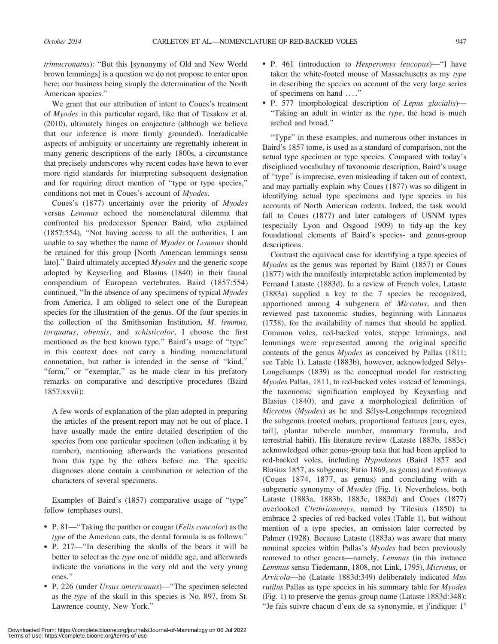trimucronatus): ''But this [synonymy of Old and New World brown lemmings] is a question we do not propose to enter upon here; our business being simply the determination of the North American species.''

We grant that our attribution of intent to Coues's treatment of Myodes in this particular regard, like that of Tesakov et al. (2010), ultimately hinges on conjecture (although we believe that our inference is more firmly grounded). Ineradicable aspects of ambiguity or uncertainty are regrettably inherent in many generic descriptions of the early 1800s, a circumstance that precisely underscores why recent codes have hewn to ever more rigid standards for interpreting subsequent designation and for requiring direct mention of ''type or type species,'' conditions not met in Coues's account of Myodes.

Coues's (1877) uncertainty over the priority of Myodes versus Lemmus echoed the nomenclatural dilemma that confronted his predecessor Spencer Baird, who explained (1857:554), ''Not having access to all the authorities, I am unable to say whether the name of Myodes or Lemmus should be retained for this group [North American lemmings sensu lato].'' Baird ultimately accepted Myodes and the generic scope adopted by Keyserling and Blasius (1840) in their faunal compendium of European vertebrates. Baird (1857:554) continued, ''In the absence of any specimens of typical Myodes from America, I am obliged to select one of the European species for the illustration of the genus. Of the four species in the collection of the Smithsonian Institution, M. lemmus, torquatus, obensis, and schisticolor, I choose the first mentioned as the best known type.'' Baird's usage of ''type'' in this context does not carry a binding nomenclatural connotation, but rather is intended in the sense of ''kind,'' "form," or "exemplar," as he made clear in his prefatory remarks on comparative and descriptive procedures (Baird 1857:xxvii):

A few words of explanation of the plan adopted in preparing the articles of the present report may not be out of place. I have usually made the entire detailed description of the species from one particular specimen (often indicating it by number), mentioning afterwards the variations presented from this type by the others before me. The specific diagnoses alone contain a combination or selection of the characters of several specimens.

Examples of Baird's (1857) comparative usage of ''type'' follow (emphases ours).

- P. 81—"Taking the panther or cougar (Felis concolor) as the type of the American cats, the dental formula is as follows:''
- P. 217—''In describing the skulls of the bears it will be better to select as the type one of middle age, and afterwards indicate the variations in the very old and the very young ones.''
- P. 226 (under Ursus americanus)—"The specimen selected as the type of the skull in this species is No. 897, from St. Lawrence county, New York.''
- P. 461 (introduction to *Hesperomys leucopus*)—"I have taken the white-footed mouse of Massachusetts as my type in describing the species on account of the very large series of specimens on hand . . . .''
- - P. 577 (morphological description of Lepus glacialis)— "Taking an adult in winter as the type, the head is much arched and broad.''

''Type'' in these examples, and numerous other instances in Baird's 1857 tome, is used as a standard of comparison, not the actual type specimen or type species. Compared with today's disciplined vocabulary of taxonomic description, Baird's usage of ''type'' is imprecise, even misleading if taken out of context, and may partially explain why Coues (1877) was so diligent in identifying actual type specimens and type species in his accounts of North American rodents. Indeed, the task would fall to Coues (1877) and later catalogers of USNM types (especially Lyon and Osgood 1909) to tidy-up the key foundational elements of Baird's species- and genus-group descriptions.

Contrast the equivocal case for identifying a type species of Myodes as the genus was reported by Baird (1857) or Coues (1877) with the manifestly interpretable action implemented by Fernand Lataste (1883d). In a review of French voles, Lataste (1883a) supplied a key to the 7 species he recognized, apportioned among 4 subgenera of Microtus, and then reviewed past taxonomic studies, beginning with Linnaeus (1758), for the availability of names that should be applied. Common voles, red-backed voles, steppe lemmings, and lemmings were represented among the original specific contents of the genus Myodes as conceived by Pallas (1811; see Table 1). Lataste (1883b), however, acknowledged Sélys-Longchamps (1839) as the conceptual model for restricting Myodes Pallas, 1811, to red-backed voles instead of lemmings, the taxonomic signification employed by Keyserling and Blasius (1840), and gave a morphological definition of Microtus (Myodes) as he and Sélys-Longchamps recognized the subgenus (rooted molars, proportional features [ears, eyes, tail], plantar tubercle number, mammary formula, and terrestrial habit). His literature review (Lataste 1883b, 1883c) acknowledged other genus-group taxa that had been applied to red-backed voles, including Hypudaeus (Baird 1857 and Blasius 1857, as subgenus; Fatio 1869, as genus) and Evotomys (Coues 1874, 1877, as genus) and concluding with a subgeneric synonymy of *Myodes* (Fig. 1). Nevertheless, both Lataste (1883a, 1883b, 1883c, 1883d) and Coues (1877) overlooked Clethrionomys, named by Tilesius (1850) to embrace 2 species of red-backed voles (Table 1), but without mention of a type species, an omission later corrected by Palmer (1928). Because Lataste (1883a) was aware that many nominal species within Pallas's Myodes had been previously removed to other genera—namely, *Lemmus* (in this instance Lemmus sensu Tiedemann, 1808, not Link, 1795), Microtus, or Arvicola—he (Lataste 1883d:349) deliberately indicated Mus rutilus Pallas as type species in his summary table for *Myodes* (Fig. 1) to preserve the genus-group name (Lataste 1883d:348): "Je fais suivre chacun d'eux de sa synonymie, et j'indique: 1°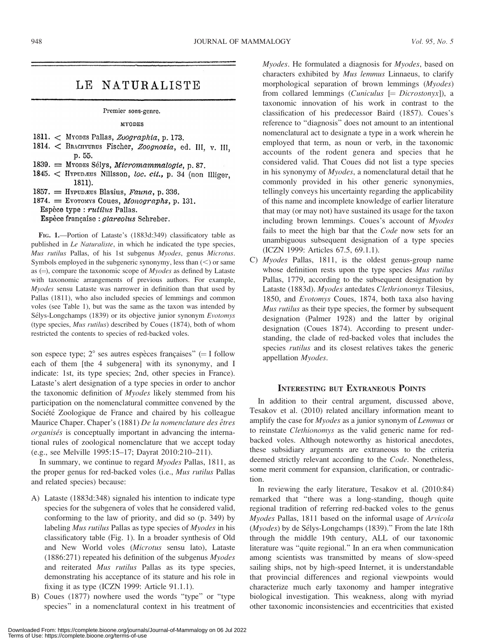948 JOURNAL OF MAMMALOGY Vol. 95, No. 5

### LE NATURALISTE

Premier sons-genre.

**MYODES** 

- 1811.  $\lt$  Myones Pallas, Zoographia, p. 173.
- 1814. < BRACHYURUS Fischer, Zoognosia, ed. III, v. III, p. 55.
- 1839. = Myones Sélys, Micromammalogie, p. 87.
- 1845. < Hypun Eus Nillsson, loc. cit., p. 34 (non Illiger, 1811).
- 1857. = HYPUDÆUS Blasius, Fauna, p. 336.
- 1874. = Evoronys Coues, Monographs, p. 131.
	- Espèce type : rutilus Pallas. Espèce française : glareolus Schreber.

FIG. 1.—Portion of Lataste's (1883d:349) classificatory table as published in Le Naturaliste, in which he indicated the type species, Mus rutilus Pallas, of his 1st subgenus Myodes, genus Microtus. Symbols employed in the subgeneric synonymy, less than  $(<)$  or same as  $(=)$ , compare the taxonomic scope of *Myodes* as defined by Lataste with taxonomic arrangements of previous authors. For example, Myodes sensu Lataste was narrower in definition than that used by Pallas (1811), who also included species of lemmings and common voles (see Table 1), but was the same as the taxon was intended by Sélys-Longchamps (1839) or its objective junior synonym Evotomys (type species, Mus rutilus) described by Coues (1874), both of whom restricted the contents to species of red-backed voles.

son espece type;  $2^{\circ}$  ses autres espèces françaises" (= I follow each of them [the 4 subgenera] with its synonymy, and I indicate: 1st, its type species; 2nd, other species in France). Lataste's alert designation of a type species in order to anchor the taxonomic definition of Myodes likely stemmed from his participation on the nomenclatural committee convened by the Société Zoologique de France and chaired by his colleague Maurice Chaper. Chaper's (1881) De la nomenclature des êtres organisés is conceptually important in advancing the international rules of zoological nomenclature that we accept today (e.g., see Melville 1995:15–17; Dayrat 2010:210–211).

In summary, we continue to regard Myodes Pallas, 1811, as the proper genus for red-backed voles (i.e., Mus rutilus Pallas and related species) because:

- A) Lataste (1883d:348) signaled his intention to indicate type species for the subgenera of voles that he considered valid, conforming to the law of priority, and did so (p. 349) by labeling Mus rutilus Pallas as type species of Myodes in his classificatory table (Fig. 1). In a broader synthesis of Old and New World voles (Microtus sensu lato), Lataste  $(1886:271)$  repeated his definition of the subgenus *Myodes* and reiterated Mus rutilus Pallas as its type species, demonstrating his acceptance of its stature and his role in fixing it as type (ICZN 1999: Article 91.1.1).
- B) Coues (1877) nowhere used the words ''type'' or ''type species'' in a nomenclatural context in his treatment of

Myodes. He formulated a diagnosis for Myodes, based on characters exhibited by Mus lemmus Linnaeus, to clarify morphological separation of brown lemmings (Myodes) from collared lemmings (*Cuniculus*  $[= *Directions*]/[0, 1]$ , a taxonomic innovation of his work in contrast to the classification of his predecessor Baird (1857). Coues's reference to ''diagnosis'' does not amount to an intentional nomenclatural act to designate a type in a work wherein he employed that term, as noun or verb, in the taxonomic accounts of the rodent genera and species that he considered valid. That Coues did not list a type species in his synonymy of Myodes, a nomenclatural detail that he commonly provided in his other generic synonymies, tellingly conveys his uncertainty regarding the applicability of this name and incomplete knowledge of earlier literature that may (or may not) have sustained its usage for the taxon including brown lemmings. Coues's account of Myodes fails to meet the high bar that the Code now sets for an unambiguous subsequent designation of a type species (ICZN 1999: Articles 67.5, 69.1.1).

C) Myodes Pallas, 1811, is the oldest genus-group name whose definition rests upon the type species Mus rutilus Pallas, 1779, according to the subsequent designation by Lataste (1883d). Myodes antedates Clethrionomys Tilesius, 1850, and Evotomys Coues, 1874, both taxa also having Mus rutilus as their type species, the former by subsequent designation (Palmer 1928) and the latter by original designation (Coues 1874). According to present understanding, the clade of red-backed voles that includes the species rutilus and its closest relatives takes the generic appellation Myodes.

#### INTERESTING BUT EXTRANEOUS POINTS

In addition to their central argument, discussed above, Tesakov et al. (2010) related ancillary information meant to amplify the case for *Myodes* as a junior synonym of *Lemmus* or to reinstate Clethionomys as the valid generic name for redbacked voles. Although noteworthy as historical anecdotes, these subsidiary arguments are extraneous to the criteria deemed strictly relevant according to the Code. Nonetheless, some merit comment for expansion, clarification, or contradiction.

In reviewing the early literature, Tesakov et al. (2010:84) remarked that ''there was a long-standing, though quite regional tradition of referring red-backed voles to the genus Myodes Pallas, 1811 based on the informal usage of Arvicola  $(Myodes)$  by de Sélys-Longchamps (1839)." From the late 18th through the middle 19th century, ALL of our taxonomic literature was ''quite regional.'' In an era when communication among scientists was transmitted by means of slow-speed sailing ships, not by high-speed Internet, it is understandable that provincial differences and regional viewpoints would characterize much early taxonomy and hamper integrative biological investigation. This weakness, along with myriad other taxonomic inconsistencies and eccentricities that existed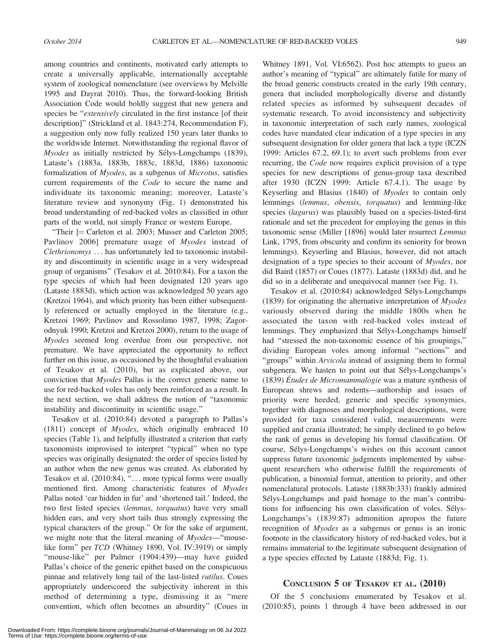among countries and continents, motivated early attempts to create a universally applicable, internationally acceptable system of zoological nomenclature (see overviews by Melville 1995 and Dayrat 2010). Thus, the forward-looking British Association Code would boldly suggest that new genera and species be "*extensively* circulated in the first instance [of their description]'' (Strickland et al. 1843:274, Recommendation F), a suggestion only now fully realized 150 years later thanks to the worldwide Internet. Notwithstanding the regional flavor of Myodes as initially restricted by Sélys-Longchamps (1839), Lataste's (1883a, 1883b, 1883c, 1883d, 1886) taxonomic formalization of Myodes, as a subgenus of Microtus, satisfies current requirements of the Code to secure the name and individuate its taxonomic meaning; moreover, Lataste's literature review and synonymy (Fig. 1) demonstrated his broad understanding of red-backed voles as classified in other parts of the world, not simply France or western Europe.

"Their  $[=$  Carleton et al. 2003; Musser and Carleton 2005; Pavlinov 2006] premature usage of Myodes instead of Clethrionomys . . . has unfortunately led to taxonomic instability and discontinuity in scientific usage in a very widespread group of organisms'' (Tesakov et al. 2010:84). For a taxon the type species of which had been designated 120 years ago (Lataste 1883d), which action was acknowledged 50 years ago (Kretzoi 1964), and which priority has been either subsequently referenced or actually employed in the literature (e.g., Kretzoi 1969; Pavlinov and Rossolimo 1987, 1998; Zagorodnyuk 1990; Kretzoi and Kretzoi 2000), return to the usage of Myodes seemed long overdue from our perspective, not premature. We have appreciated the opportunity to reflect further on this issue, as occasioned by the thoughtful evaluation of Tesakov et al. (2010), but as explicated above, our conviction that Myodes Pallas is the correct generic name to use for red-backed voles has only been reinforced as a result. In the next section, we shall address the notion of ''taxonomic instability and discontinuity in scientific usage.''

Tesakov et al. (2010:84) devoted a paragraph to Pallas's (1811) concept of Myodes, which originally embraced 10 species (Table 1), and helpfully illustrated a criterion that early taxonomists improvised to interpret ''typical'' when no type species was originally designated: the order of species listed by an author when the new genus was created. As elaborated by Tesakov et al. (2010:84), "... more typical forms were usually mentioned first. Among characteristic features of Myodes Pallas noted 'ear hidden in fur' and 'shortened tail.' Indeed, the two first listed species (lemmus, torquatus) have very small hidden ears, and very short tails thus strongly expressing the typical characters of the group.'' Or for the sake of argument, we might note that the literal meaning of *Myodes*—"mouselike form'' per TCD (Whitney 1890, Vol. IV:3919) or simply ''mouse-like'' per Palmer (1904:439)—may have guided Pallas's choice of the generic epithet based on the conspicuous pinnae and relatively long tail of the last-listed rutilus. Coues appropriately underscored the subjectivity inherent in this method of determining a type, dismissing it as ''mere convention, which often becomes an absurdity'' (Coues in Whitney 1891, Vol. VI:6562). Post hoc attempts to guess an author's meaning of ''typical'' are ultimately futile for many of the broad generic constructs created in the early 19th century, genera that included morphologically diverse and distantly related species as informed by subsequent decades of systematic research. To avoid inconsistency and subjectivity in taxonomic interpretation of such early names, zoological codes have mandated clear indication of a type species in any subsequent designation for older genera that lack a type (ICZN 1999: Articles 67.2, 69.1); to avert such problems from ever recurring, the Code now requires explicit provision of a type species for new descriptions of genus-group taxa described after 1930 (ICZN 1999: Article 67.4.1). The usage by Keyserling and Blasius (1840) of Myodes to contain only lemmings (lemmus, obensis, torquatus) and lemming-like species (lagurus) was plausibly based on a species-listed-first rationale and set the precedent for employing the genus in this taxonomic sense (Miller [1896] would later resurrect Lemmus Link, 1795, from obscurity and confirm its seniority for brown lemmings). Keyserling and Blasius, however, did not attach designation of a type species to their account of Myodes, nor did Baird (1857) or Coues (1877). Lataste (1883d) did, and he did so in a deliberate and unequivocal manner (see Fig. 1).

Tesakov et al. (2010:84) acknowledged Sélys-Longchamps (1839) for originating the alternative interpretation of  $Myodes$ variously observed during the middle 1800s when he associated the taxon with red-backed voles instead of lemmings. They emphasized that Sélys-Longchamps himself had "stressed the non-taxonomic essence of his groupings," dividing European voles among informal ''sections'' and "groups" within *Arvicola* instead of assigning them to formal subgenera. We hasten to point out that Sélys-Longchamps's (1839) Études de Micromammalogie was a mature synthesis of European shrews and rodents—authorship and issues of priority were heeded, generic and specific synonymies, together with diagnoses and morphological descriptions, were provided for taxa considered valid, measurements were supplied and crania illustrated; he simply declined to go below the rank of genus in developing his formal classification. Of course, Selys-Longchamps's wishes on this account cannot ´ suppress future taxonomic judgments implemented by subsequent researchers who otherwise fulfill the requirements of publication, a binomial format, attention to priority, and other nomenclatural protocols. Lataste (1883b:333) frankly admired Sélys-Longchamps and paid homage to the man's contributions for influencing his own classification of voles. Selys- ´ Longchamps's (1839:87) admonition apropos the future recognition of Myodes as a subgenus or genus is an ironic footnote in the classificatory history of red-backed voles, but it remains immaterial to the legitimate subsequent designation of a type species effected by Lataste (1883d; Fig. 1).

#### CONCLUSION 5 OF TESAKOV ET AL. (2010)

Of the 5 conclusions enumerated by Tesakov et al. (2010:85), points 1 through 4 have been addressed in our

Downloaded From: https://complete.bioone.org/journals/Journal-of-Mammalogy on 06 Jul 2022 Terms of Use: https://complete.bioone.org/terms-of-use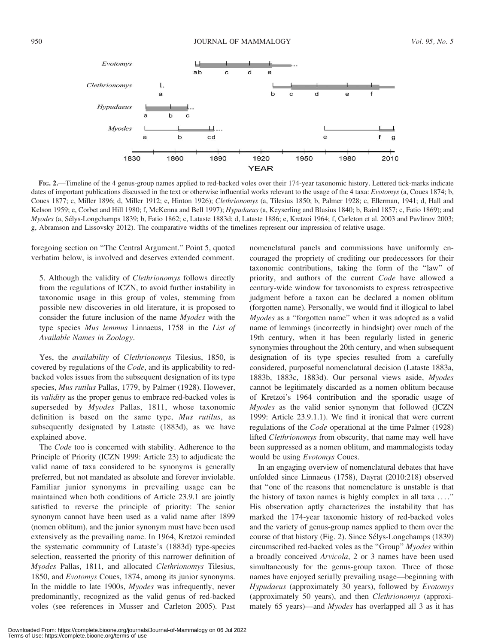

FIG. 2.—Timeline of the 4 genus-group names applied to red-backed voles over their 174-year taxonomic history. Lettered tick-marks indicate dates of important publications discussed in the text or otherwise influential works relevant to the usage of the 4 taxa: Evotomys (a, Coues 1874; b, Coues 1877; c, Miller 1896; d, Miller 1912; e, Hinton 1926); Clethrionomys (a, Tilesius 1850; b, Palmer 1928; c, Ellerman, 1941; d, Hall and Kelson 1959; e, Corbet and Hill 1980; f, McKenna and Bell 1997); Hypudaeus (a, Keyserling and Blasius 1840; b, Baird 1857; c, Fatio 1869); and Myodes (a, Selys-Longchamps 1839; b, Fatio 1862; c, Lataste 1883d; d, Lataste 1886; e, Kretzoi 1964; f, Carleton et al. 2003 and Pavlinov 2003; ´ g, Abramson and Lissovsky 2012). The comparative widths of the timelines represent our impression of relative usage.

foregoing section on ''The Central Argument.'' Point 5, quoted verbatim below, is involved and deserves extended comment.

5. Although the validity of Clethrionomys follows directly from the regulations of ICZN, to avoid further instability in taxonomic usage in this group of voles, stemming from possible new discoveries in old literature, it is proposed to consider the future inclusion of the name Myodes with the type species Mus lemmus Linnaeus, 1758 in the List of Available Names in Zoology.

Yes, the availability of Clethrionomys Tilesius, 1850, is covered by regulations of the Code, and its applicability to redbacked voles issues from the subsequent designation of its type species, Mus rutilus Pallas, 1779, by Palmer (1928). However, its validity as the proper genus to embrace red-backed voles is superseded by Myodes Pallas, 1811, whose taxonomic definition is based on the same type, Mus rutilus, as subsequently designated by Lataste (1883d), as we have explained above.

The Code too is concerned with stability. Adherence to the Principle of Priority (ICZN 1999: Article 23) to adjudicate the valid name of taxa considered to be synonyms is generally preferred, but not mandated as absolute and forever inviolable. Familiar junior synonyms in prevailing usage can be maintained when both conditions of Article 23.9.1 are jointly satisfied to reverse the principle of priority: The senior synonym cannot have been used as a valid name after 1899 (nomen oblitum), and the junior synonym must have been used extensively as the prevailing name. In 1964, Kretzoi reminded the systematic community of Lataste's (1883d) type-species selection, reasserted the priority of this narrower definition of Myodes Pallas, 1811, and allocated Clethrionomys Tilesius, 1850, and Evotomys Coues, 1874, among its junior synonyms. In the middle to late 1900s, Myodes was infrequently, never predominantly, recognized as the valid genus of red-backed voles (see references in Musser and Carleton 2005). Past

nomenclatural panels and commissions have uniformly encouraged the propriety of crediting our predecessors for their taxonomic contributions, taking the form of the ''law'' of priority, and authors of the current Code have allowed a century-wide window for taxonomists to express retrospective judgment before a taxon can be declared a nomen oblitum (forgotten name). Personally, we would find it illogical to label Myodes as a ''forgotten name'' when it was adopted as a valid name of lemmings (incorrectly in hindsight) over much of the 19th century, when it has been regularly listed in generic synonymies throughout the 20th century, and when subsequent designation of its type species resulted from a carefully considered, purposeful nomenclatural decision (Lataste 1883a, 1883b, 1883c, 1883d). Our personal views aside, Myodes cannot be legitimately discarded as a nomen oblitum because of Kretzoi's 1964 contribution and the sporadic usage of Myodes as the valid senior synonym that followed (ICZN 1999: Article 23.9.1.1). We find it ironical that were current regulations of the Code operational at the time Palmer (1928) lifted Clethrionomys from obscurity, that name may well have been suppressed as a nomen oblitum, and mammalogists today would be using Evotomys Coues.

In an engaging overview of nomenclatural debates that have unfolded since Linnaeus (1758), Dayrat (2010:218) observed that ''one of the reasons that nomenclature is unstable is that the history of taxon names is highly complex in all taxa . . . .'' His observation aptly characterizes the instability that has marked the 174-year taxonomic history of red-backed voles and the variety of genus-group names applied to them over the course of that history (Fig. 2). Since Sélys-Longchamps (1839) circumscribed red-backed voles as the ''Group'' Myodes within a broadly conceived Arvicola, 2 or 3 names have been used simultaneously for the genus-group taxon. Three of those names have enjoyed serially prevailing usage—beginning with Hypudaeus (approximately 30 years), followed by Evotomys (approximately 50 years), and then Clethrionomys (approximately 65 years)—and Myodes has overlapped all 3 as it has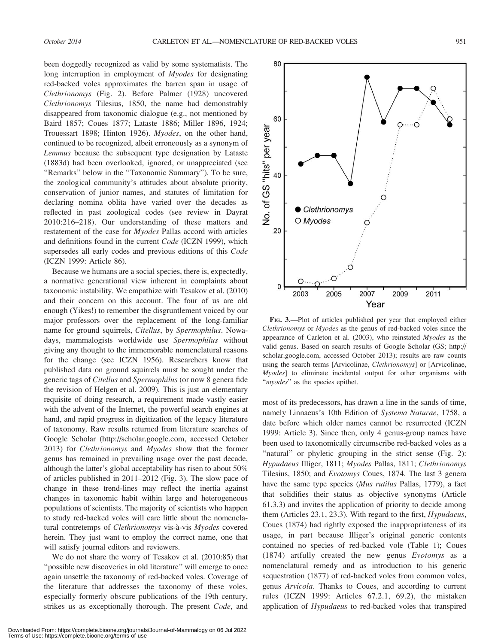been doggedly recognized as valid by some systematists. The long interruption in employment of *Myodes* for designating red-backed voles approximates the barren span in usage of Clethrionomys (Fig. 2). Before Palmer (1928) uncovered Clethrionomys Tilesius, 1850, the name had demonstrably disappeared from taxonomic dialogue (e.g., not mentioned by Baird 1857; Coues 1877; Lataste 1886; Miller 1896, 1924; Trouessart 1898; Hinton 1926). Myodes, on the other hand, continued to be recognized, albeit erroneously as a synonym of Lemmus because the subsequent type designation by Lataste (1883d) had been overlooked, ignored, or unappreciated (see "Remarks" below in the "Taxonomic Summary"). To be sure, the zoological community's attitudes about absolute priority, conservation of junior names, and statutes of limitation for declaring nomina oblita have varied over the decades as reflected in past zoological codes (see review in Dayrat 2010:216–218). Our understanding of these matters and restatement of the case for Myodes Pallas accord with articles and definitions found in the current Code (ICZN 1999), which supersedes all early codes and previous editions of this Code (ICZN 1999: Article 86).

Because we humans are a social species, there is, expectedly, a normative generational view inherent in complaints about taxonomic instability. We empathize with Tesakov et al. (2010) and their concern on this account. The four of us are old enough (Yikes!) to remember the disgruntlement voiced by our major professors over the replacement of the long-familiar name for ground squirrels, Citellus, by Spermophilus. Nowadays, mammalogists worldwide use Spermophilus without giving any thought to the immemorable nomenclatural reasons for the change (see ICZN 1956). Researchers know that published data on ground squirrels must be sought under the generic tags of Citellus and Spermophilus (or now 8 genera fide the revision of Helgen et al. 2009). This is just an elementary requisite of doing research, a requirement made vastly easier with the advent of the Internet, the powerful search engines at hand, and rapid progress in digitization of the legacy literature of taxonomy. Raw results returned from literature searches of Google Scholar (http://scholar.google.com, accessed October 2013) for Clethrionomys and Myodes show that the former genus has remained in prevailing usage over the past decade, although the latter's global acceptability has risen to about 50% of articles published in 2011–2012 (Fig. 3). The slow pace of change in these trend-lines may reflect the inertia against changes in taxonomic habit within large and heterogeneous populations of scientists. The majority of scientists who happen to study red-backed voles will care little about the nomenclatural contretemps of *Clethrionomys* vis-à-vis *Myodes* covered herein. They just want to employ the correct name, one that will satisfy journal editors and reviewers.

We do not share the worry of Tesakov et al. (2010:85) that "possible new discoveries in old literature" will emerge to once again unsettle the taxonomy of red-backed voles. Coverage of the literature that addresses the taxonomy of these voles, especially formerly obscure publications of the 19th century, strikes us as exceptionally thorough. The present *Code*, and



FIG. 3.—Plot of articles published per year that employed either Clethrionomys or Myodes as the genus of red-backed voles since the appearance of Carleton et al. (2003), who reinstated Myodes as the valid genus. Based on search results of Google Scholar (GS; http:// scholar.google.com, accessed October 2013); results are raw counts using the search terms [Arvicolinae, Clethrionomys] or [Arvicolinae, Myodes] to eliminate incidental output for other organisms with "*myodes*" as the species epithet.

most of its predecessors, has drawn a line in the sands of time, namely Linnaeus's 10th Edition of Systema Naturae, 1758, a date before which older names cannot be resurrected (ICZN 1999: Article 3). Since then, only 4 genus-group names have been used to taxonomically circumscribe red-backed voles as a "natural" or phyletic grouping in the strict sense (Fig. 2): Hypudaeus Illiger, 1811; Myodes Pallas, 1811; Clethrionomys Tilesius, 1850; and Evotomys Coues, 1874. The last 3 genera have the same type species (*Mus rutilus* Pallas, 1779), a fact that solidifies their status as objective synonyms (Article 61.3.3) and invites the application of priority to decide among them (Articles 23.1, 23.3). With regard to the first, Hypudaeus, Coues (1874) had rightly exposed the inappropriateness of its usage, in part because Illiger's original generic contents contained no species of red-backed vole (Table 1); Coues (1874) artfully created the new genus Evotomys as a nomenclatural remedy and as introduction to his generic sequestration (1877) of red-backed voles from common voles, genus Arvicola. Thanks to Coues, and according to current rules (ICZN 1999: Articles 67.2.1, 69.2), the mistaken application of Hypudaeus to red-backed voles that transpired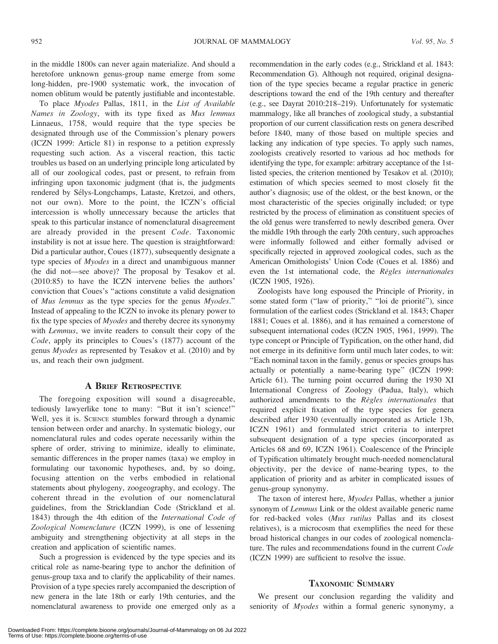in the middle 1800s can never again materialize. And should a heretofore unknown genus-group name emerge from some long-hidden, pre-1900 systematic work, the invocation of nomen oblitum would be patently justifiable and incontestable.

To place Myodes Pallas, 1811, in the List of Available Names in Zoology, with its type fixed as Mus lemmus Linnaeus, 1758, would require that the type species be designated through use of the Commission's plenary powers (ICZN 1999: Article 81) in response to a petition expressly requesting such action. As a visceral reaction, this tactic troubles us based on an underlying principle long articulated by all of our zoological codes, past or present, to refrain from infringing upon taxonomic judgment (that is, the judgments rendered by Selys-Longchamps, Lataste, Kretzoi, and others, ´ not our own). More to the point, the ICZN's official intercession is wholly unnecessary because the articles that speak to this particular instance of nomenclatural disagreement are already provided in the present Code. Taxonomic instability is not at issue here. The question is straightforward: Did a particular author, Coues (1877), subsequently designate a type species of Myodes in a direct and unambiguous manner (he did not—see above)? The proposal by Tesakov et al. (2010:85) to have the ICZN intervene belies the authors' conviction that Coues's ''actions constitute a valid designation of Mus lemmus as the type species for the genus Myodes.'' Instead of appealing to the ICZN to invoke its plenary power to fix the type species of  $Myodes$  and thereby decree its synonymy with Lemmus, we invite readers to consult their copy of the Code, apply its principles to Coues's (1877) account of the genus Myodes as represented by Tesakov et al. (2010) and by us, and reach their own judgment.

#### A BRIEF RETROSPECTIVE

The foregoing exposition will sound a disagreeable, tediously lawyerlike tone to many: ''But it isn't science!'' Well, yes it is. SCIENCE stumbles forward through a dynamic tension between order and anarchy. In systematic biology, our nomenclatural rules and codes operate necessarily within the sphere of order, striving to minimize, ideally to eliminate, semantic differences in the proper names (taxa) we employ in formulating our taxonomic hypotheses, and, by so doing, focusing attention on the verbs embodied in relational statements about phylogeny, zoogeography, and ecology. The coherent thread in the evolution of our nomenclatural guidelines, from the Stricklandian Code (Strickland et al. 1843) through the 4th edition of the International Code of Zoological Nomenclature (ICZN 1999), is one of lessening ambiguity and strengthening objectivity at all steps in the creation and application of scientific names.

Such a progression is evidenced by the type species and its critical role as name-bearing type to anchor the definition of genus-group taxa and to clarify the applicability of their names. Provision of a type species rarely accompanied the description of new genera in the late 18th or early 19th centuries, and the nomenclatural awareness to provide one emerged only as a

recommendation in the early codes (e.g., Strickland et al. 1843: Recommendation G). Although not required, original designation of the type species became a regular practice in generic descriptions toward the end of the 19th century and thereafter (e.g., see Dayrat 2010:218–219). Unfortunately for systematic mammalogy, like all branches of zoological study, a substantial proportion of our current classification rests on genera described before 1840, many of those based on multiple species and lacking any indication of type species. To apply such names, zoologists creatively resorted to various ad hoc methods for identifying the type, for example: arbitrary acceptance of the 1stlisted species, the criterion mentioned by Tesakov et al. (2010); estimation of which species seemed to most closely fit the author's diagnosis; use of the oldest, or the best known, or the most characteristic of the species originally included; or type restricted by the process of elimination as constituent species of the old genus were transferred to newly described genera. Over the middle 19th through the early 20th century, such approaches were informally followed and either formally advised or specifically rejected in approved zoological codes, such as the American Ornithologists' Union Code (Coues et al. 1886) and even the 1st international code, the Règles internationales (ICZN 1905, 1926).

Zoologists have long espoused the Principle of Priority, in some stated form ("law of priority," "loi de priorité"), since formulation of the earliest codes (Strickland et al. 1843; Chaper 1881; Coues et al. 1886), and it has remained a cornerstone of subsequent international codes (ICZN 1905, 1961, 1999). The type concept or Principle of Typification, on the other hand, did not emerge in its definitive form until much later codes, to wit: ''Each nominal taxon in the family, genus or species groups has actually or potentially a name-bearing type'' (ICZN 1999: Article 61). The turning point occurred during the 1930 XI International Congress of Zoology (Padua, Italy), which authorized amendments to the  $R$ ègles internationales that required explicit fixation of the type species for genera described after 1930 (eventually incorporated as Article 13b, ICZN 1961) and formulated strict criteria to interpret subsequent designation of a type species (incorporated as Articles 68 and 69, ICZN 1961). Coalescence of the Principle of Typification ultimately brought much-needed nomenclatural objectivity, per the device of name-bearing types, to the application of priority and as arbiter in complicated issues of genus-group synonymy.

The taxon of interest here, Myodes Pallas, whether a junior synonym of Lemmus Link or the oldest available generic name for red-backed voles (Mus rutilus Pallas and its closest relatives), is a microcosm that exemplifies the need for these broad historical changes in our codes of zoological nomenclature. The rules and recommendations found in the current Code (ICZN 1999) are sufficient to resolve the issue.

#### TAXONOMIC SUMMARY

We present our conclusion regarding the validity and seniority of *Myodes* within a formal generic synonymy, a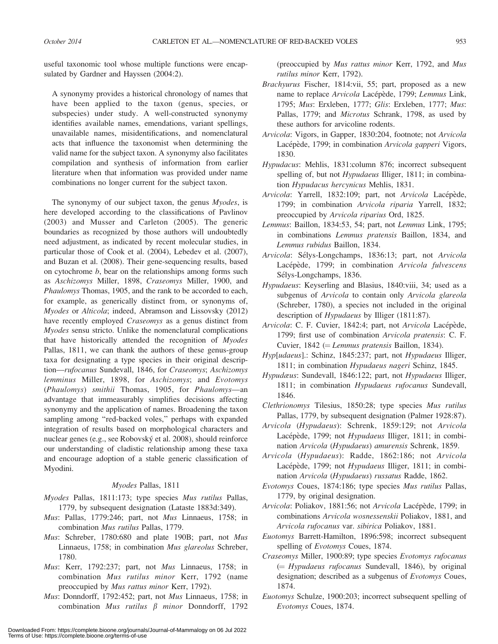useful taxonomic tool whose multiple functions were encapsulated by Gardner and Hayssen (2004:2).

A synonymy provides a historical chronology of names that have been applied to the taxon (genus, species, or subspecies) under study. A well-constructed synonymy identifies available names, emendations, variant spellings, unavailable names, misidentifications, and nomenclatural acts that influence the taxonomist when determining the valid name for the subject taxon. A synonymy also facilitates compilation and synthesis of information from earlier literature when that information was provided under name combinations no longer current for the subject taxon.

The synonymy of our subject taxon, the genus *Myodes*, is here developed according to the classifications of Pavlinov (2003) and Musser and Carleton (2005). The generic boundaries as recognized by those authors will undoubtedly need adjustment, as indicated by recent molecular studies, in particular those of Cook et al. (2004), Lebedev et al. (2007), and Buzan et al. (2008). Their gene-sequencing results, based on cytochrome b, bear on the relationships among forms such as Aschizomys Miller, 1898, Craseomys Miller, 1900, and Phaulomys Thomas, 1905, and the rank to be accorded to each, for example, as generically distinct from, or synonyms of, Myodes or Alticola; indeed, Abramson and Lissovsky (2012) have recently employed Craseomys as a genus distinct from Myodes sensu stricto. Unlike the nomenclatural complications that have historically attended the recognition of Myodes Pallas, 1811, we can thank the authors of these genus-group taxa for designating a type species in their original description—rufocanus Sundevall, 1846, for Craseomys; Aschizomys lemminus Miller, 1898, for Aschizomys; and Evotomys (Phaulomys) smithii Thomas, 1905, for Phaulomys—an advantage that immeasurably simplifies decisions affecting synonymy and the application of names. Broadening the taxon sampling among "red-backed voles," perhaps with expanded integration of results based on morphological characters and nuclear genes (e.g., see Robovský et al. 2008), should reinforce our understanding of cladistic relationship among these taxa and encourage adoption of a stable generic classification of Myodini.

#### Myodes Pallas, 1811

- Myodes Pallas, 1811:173; type species Mus rutilus Pallas, 1779, by subsequent designation (Lataste 1883d:349).
- Mus: Pallas, 1779:246; part, not Mus Linnaeus, 1758; in combination Mus rutilus Pallas, 1779.
- Mus: Schreber, 1780:680 and plate 190B; part, not Mus Linnaeus, 1758; in combination Mus glareolus Schreber, 1780.
- Mus: Kerr, 1792:237; part, not Mus Linnaeus, 1758; in combination Mus rutilus minor Kerr, 1792 (name preoccupied by Mus rattus minor Kerr, 1792).
- Mus: Donndorff, 1792:452; part, not Mus Linnaeus, 1758; in combination Mus rutilus  $\beta$  minor Donndorff, 1792

(preoccupied by Mus rattus minor Kerr, 1792, and Mus rutilus minor Kerr, 1792).

- Brachyurus Fischer, 1814:vii, 55; part, proposed as a new name to replace Arvicola Lacépède, 1799; Lemmus Link, 1795; Mus: Erxleben, 1777; Glis: Erxleben, 1777; Mus: Pallas, 1779; and Microtus Schrank, 1798, as used by these authors for arvicoline rodents.
- Arvicola: Vigors, in Gapper, 1830:204, footnote; not Arvicola Lacépède, 1799; in combination Arvicola gapperi Vigors, 1830.
- Hypudacus: Mehlis, 1831:column 876; incorrect subsequent spelling of, but not Hypudaeus Illiger, 1811; in combination Hypudacus hercynicus Mehlis, 1831.
- Arvicola: Yarrell, 1832:109; part, not Arvicola Lacépède, 1799; in combination Arvicola riparia Yarrell, 1832; preoccupied by Arvicola riparius Ord, 1825.
- Lemmus: Baillon, 1834:53, 54; part, not Lemmus Link, 1795; in combinations Lemmus pratensis Baillon, 1834, and Lemmus rubidus Baillon, 1834.
- Arvicola: Sélys-Longchamps, 1836:13; part, not Arvicola Lacépède, 1799; in combination Arvicola fulvescens Sélys-Longchamps, 1836.
- Hypudaeus: Keyserling and Blasius, 1840:viii, 34; used as a subgenus of Arvicola to contain only Arvicola glareola (Schreber, 1780), a species not included in the original description of Hypudaeus by Illiger (1811:87).
- Arvicola: C. F. Cuvier, 1842:4; part, not Arvicola Lacépède, 1799; first use of combination Arvicola pratensis: C. F. Cuvier,  $1842$  (= Lemmus pratensis Baillon, 1834).
- Hyp[udaeus].: Schinz, 1845:237; part, not Hypudaeus Illiger, 1811; in combination Hypudaeus nageri Schinz, 1845.
- Hypudæus: Sundevall, 1846:122; part, not Hypudaeus Illiger, 1811; in combination Hypudaeus rufocanus Sundevall, 1846.
- Clethrionomys Tilesius, 1850:28; type species Mus rutilus Pallas, 1779, by subsequent designation (Palmer 1928:87).
- Arvicola (Hypudaeus): Schrenk, 1859:129; not Arvicola Lacépède, 1799; not Hypudaeus Illiger, 1811; in combination Arvicola (Hypudaeus) amurensis Schrenk, 1859.
- Arvicola (Hypudaeus): Radde, 1862:186; not Arvicola Lacépède, 1799; not Hypudaeus Illiger, 1811; in combination Arvicola (Hypudaeus) russatus Radde, 1862.
- Evotomys Coues, 1874:186; type species Mus rutilus Pallas, 1779, by original designation.
- Arvicola: Poliakov, 1881:56; not Arvicola Lacépède, 1799; in combinations Arvicola wosnessenskii Poliakov, 1881, and Arvicola rufocanus var. sibirica Poliakov, 1881.
- Euotomys Barrett-Hamilton, 1896:598; incorrect subsequent spelling of Evotomys Coues, 1874.
- Craseomys Miller, 1900:89; type species Evotomys rufocanus  $(= Hypudaeus rufocanus$  Sundevall, 1846), by original designation; described as a subgenus of Evotomys Coues, 1874.
- Euotomys Schulze, 1900:203; incorrect subsequent spelling of Evotomys Coues, 1874.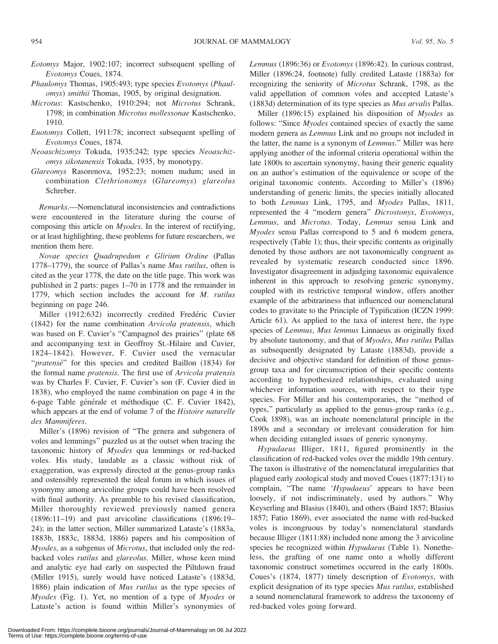- Eotomys Major, 1902:107; incorrect subsequent spelling of Evotomys Coues, 1874.
- Phaulomys Thomas, 1905:493; type species Evotomys (Phaulomys) smithii Thomas, 1905, by original designation.
- Microtus: Kastschenko, 1910:294; not Microtus Schrank, 1798; in combination Microtus mollessonae Kastschenko, 1910.
- Euotomys Collett, 1911:78; incorrect subsequent spelling of Evotomys Coues, 1874.
- Neoaschizomys Tokuda, 1935:242; type species Neoaschizomys sikotanensis Tokuda, 1935, by monotypy.
- Glareomys Rasorenova, 1952:23; nomen nudum; used in combination Clethrionomys (Glareomys) glareolus Schreber.

Remarks.—Nomenclatural inconsistencies and contradictions were encountered in the literature during the course of composing this article on Myodes. In the interest of rectifying, or at least highlighting, these problems for future researchers, we mention them here.

Novae species Quadrupedum e Glirium Ordine (Pallas 1778–1779), the source of Pallas's name Mus rutilus, often is cited as the year 1778, the date on the title page. This work was published in 2 parts: pages 1–70 in 1778 and the remainder in 1779, which section includes the account for M. rutilus beginning on page 246.

Miller (1912:632) incorrectly credited Fredéric Cuvier (1842) for the name combination Arvicola pratensis, which was based on F. Cuvier's "Campagnol des prairies" (plate 68 and accompanying text in Geoffroy St.-Hilaire and Cuvier, 1824–1842). However, F. Cuvier used the vernacular "pratense" for this species and credited Baillon (1834) for the formal name pratensis. The first use of Arvicola pratensis was by Charles F. Cuvier, F. Cuvier's son (F. Cuvier died in 1838), who employed the name combination on page 4 in the 6-page Table générale et méthodique (C. F. Cuvier 1842), which appears at the end of volume 7 of the Histoire naturelle des Mammiferes.

Miller's (1896) revision of ''The genera and subgenera of voles and lemmings'' puzzled us at the outset when tracing the taxonomic history of Myodes qua lemmings or red-backed voles. His study, laudable as a classic without risk of exaggeration, was expressly directed at the genus-group ranks and ostensibly represented the ideal forum in which issues of synonymy among arvicoline groups could have been resolved with final authority. As preamble to his revised classification, Miller thoroughly reviewed previously named genera (1896:11–19) and past arvicoline classifications (1896:19– 24); in the latter section, Miller summarized Lataste's (1883a, 1883b, 1883c, 1883d, 1886) papers and his composition of Myodes, as a subgenus of Microtus, that included only the redbacked voles rutilus and glareolus. Miller, whose keen mind and analytic eye had early on suspected the Piltdown fraud (Miller 1915), surely would have noticed Lataste's (1883d, 1886) plain indication of Mus rutilus as the type species of Myodes (Fig. 1). Yet, no mention of a type of Myodes or Lataste's action is found within Miller's synonymies of

Lemmus (1896:36) or Evotomys (1896:42). In curious contrast, Miller (1896:24, footnote) fully credited Lataste (1883a) for recognizing the seniority of Microtus Schrank, 1798, as the valid appellation of common voles and accepted Lataste's (1883d) determination of its type species as Mus arvalis Pallas.

Miller (1896:15) explained his disposition of Myodes as follows: "Since *Myodes* contained species of exactly the same modern genera as Lemmus Link and no groups not included in the latter, the name is a synonym of Lemmus.'' Miller was here applying another of the informal criteria operational within the late 1800s to ascertain synonymy, basing their generic equality on an author's estimation of the equivalence or scope of the original taxonomic contents. According to Miller's (1896) understanding of generic limits, the species initially allocated to both Lemmus Link, 1795, and Myodes Pallas, 1811, represented the 4 ''modern genera'' Dicrostonyx, Evotomys, Lemmus, and Microtus. Today, Lemmus sensu Link and Myodes sensu Pallas correspond to 5 and 6 modern genera, respectively (Table 1); thus, their specific contents as originally denoted by those authors are not taxonomically congruent as revealed by systematic research conducted since 1896. Investigator disagreement in adjudging taxonomic equivalence inherent in this approach to resolving generic synonymy, coupled with its restrictive temporal window, offers another example of the arbitrariness that influenced our nomenclatural codes to gravitate to the Principle of Typification (ICZN 1999: Article 61). As applied to the taxa of interest here, the type species of Lemmus, Mus lemmus Linnaeus as originally fixed by absolute tautonomy, and that of Myodes, Mus rutilus Pallas as subsequently designated by Lataste (1883d), provide a decisive and objective standard for definition of those genusgroup taxa and for circumscription of their specific contents according to hypothesized relationships, evaluated using whichever information sources, with respect to their type species. For Miller and his contemporaries, the ''method of types,'' particularly as applied to the genus-group ranks (e.g., Cook 1898), was an inchoate nomenclatural principle in the 1890s and a secondary or irrelevant consideration for him when deciding entangled issues of generic synonymy.

Hypudaeus Illiger, 1811, figured prominently in the classification of red-backed voles over the middle 19th century. The taxon is illustrative of the nomenclatural irregularities that plagued early zoological study and moved Coues (1877:131) to complain, "The name 'Hypudaeus' appears to have been loosely, if not indiscriminately, used by authors.'' Why Keyserling and Blasius (1840), and others (Baird 1857; Blasius 1857; Fatio 1869), ever associated the name with red-backed voles is incongruous by today's nomenclatural standards because Illiger (1811:88) included none among the 3 arvicoline species he recognized within *Hypudaeus* (Table 1). Nonetheless, the grafting of one name onto a wholly different taxonomic construct sometimes occurred in the early 1800s. Coues's (1874, 1877) timely description of Evotomys, with explicit designation of its type species Mus rutilus, established a sound nomenclatural framework to address the taxonomy of red-backed voles going forward.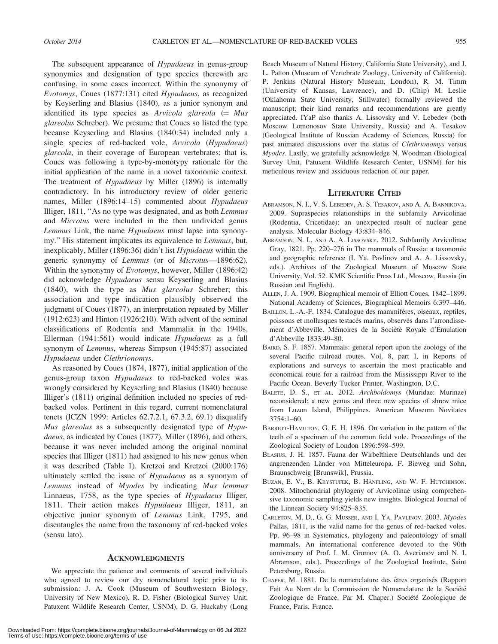The subsequent appearance of *Hypudaeus* in genus-group synonymies and designation of type species therewith are confusing, in some cases incorrect. Within the synonymy of Evotomys, Coues (1877:131) cited Hypudaeus, as recognized by Keyserling and Blasius (1840), as a junior synonym and identified its type species as Arvicola glareola  $(=$  Mus glareolus Schreber). We presume that Coues so listed the type because Keyserling and Blasius (1840:34) included only a single species of red-backed vole, Arvicola (Hypudaeus) glareola, in their coverage of European vertebrates; that is, Coues was following a type-by-monotypy rationale for the initial application of the name in a novel taxonomic context. The treatment of *Hypudaeus* by Miller (1896) is internally contradictory. In his introductory review of older generic names, Miller (1896:14–15) commented about Hypudaeus Illiger, 1811, ''As no type was designated, and as both Lemmus and Microtus were included in the then undivided genus Lemmus Link, the name Hypudaeus must lapse into synonymy.'' His statement implicates its equivalence to Lemmus, but, inexplicably, Miller (1896:36) didn't list Hypudaeus within the generic synonymy of Lemmus (or of Microtus—1896:62). Within the synonymy of Evotomys, however, Miller (1896:42) did acknowledge Hypudaeus sensu Keyserling and Blasius (1840), with the type as Mus glareolus Schreber; this association and type indication plausibly observed the judgment of Coues (1877), an interpretation repeated by Miller (1912:623) and Hinton (1926:210). With advent of the seminal classifications of Rodentia and Mammalia in the 1940s, Ellerman (1941:561) would indicate Hypudaeus as a full synonym of Lemmus, whereas Simpson (1945:87) associated Hypudaeus under Clethrionomys.

As reasoned by Coues (1874, 1877), initial application of the genus-group taxon Hypudaeus to red-backed voles was wrongly considered by Keyserling and Blasius (1840) because Illiger's (1811) original definition included no species of redbacked voles. Pertinent in this regard, current nomenclatural tenets (ICZN 1999: Articles 62.7.2.1, 67.3.2, 69.1) disqualify Mus glareolus as a subsequently designated type of Hypudaeus, as indicated by Coues (1877), Miller (1896), and others, because it was never included among the original nominal species that Illiger (1811) had assigned to his new genus when it was described (Table 1). Kretzoi and Kretzoi (2000:176) ultimately settled the issue of Hypudaeus as a synonym of Lemmus instead of Myodes by indicating Mus lemmus Linnaeus, 1758, as the type species of Hypudaeus Illiger, 1811. Their action makes Hypudaeus Illiger, 1811, an objective junior synonym of Lemmus Link, 1795, and disentangles the name from the taxonomy of red-backed voles (sensu lato).

#### **ACKNOWLEDGMENTS**

We appreciate the patience and comments of several individuals who agreed to review our dry nomenclatural topic prior to its submission: J. A. Cook (Museum of Southwestern Biology, University of New Mexico), R. D. Fisher (Biological Survey Unit, Patuxent Wildlife Research Center, USNM), D. G. Huckaby (Long Beach Museum of Natural History, California State University), and J. L. Patton (Museum of Vertebrate Zoology, University of California). P. Jenkins (Natural History Museum, London), R. M. Timm (University of Kansas, Lawrence), and D. (Chip) M. Leslie (Oklahoma State University, Stillwater) formally reviewed the manuscript; their kind remarks and recommendations are greatly appreciated. IYaP also thanks A. Lissovsky and V. Lebedev (both Moscow Lomonosov State University, Russia) and A. Tesakov (Geological Institute of Russian Academy of Sciences, Russia) for past animated discussions over the status of Clethrionomys versus Myodes. Lastly, we gratefully acknowledge N. Woodman (Biological Survey Unit, Patuxent Wildlife Research Center, USNM) for his meticulous review and assiduous redaction of our paper.

#### LITERATURE CITED

- ABRAMSON, N. I., V. S. LEBEDEV, A. S. TESAKOV, AND A. A. BANNIKOVA. 2009. Supraspecies relationships in the subfamily Arvicolinae (Rodentia, Cricetidae): an unexpected result of nuclear gene analysis. Molecular Biology 43:834–846.
- ABRAMSON, N. I., AND A. A. LISSOVSKY. 2012. Subfamily Arvicolinae Gray, 1821. Pp. 220–276 in The mammals of Russia: a taxonomic and geographic reference (I. Ya. Pavlinov and A. A. Lissovsky, eds.). Archives of the Zoological Museum of Moscow State University, Vol. 52. KMK Scientific Press Ltd., Moscow, Russia (in Russian and English).
- ALLEN, J. A. 1909. Biographical memoir of Elliott Coues, 1842–1899. National Academy of Sciences, Biographical Memoirs 6:397–446.
- BAILLON, L.-A.-F. 1834. Catalogue des mammifères, oiseaux, reptiles, poissons et mollusques testacés marins, observés dans l'arrondissement d'Abbeville. Mémoires de la Socièté Royale d'Émulation d'Abbeville 1833:49–80.
- BAIRD, S. F. 1857. Mammals: general report upon the zoology of the several Pacific railroad routes. Vol. 8, part I, in Reports of explorations and surveys to ascertain the most practicable and economical route for a railroad from the Mississippi River to the Pacific Ocean. Beverly Tucker Printer, Washington, D.C.
- BALETE, D. S., ET AL. 2012. Archboldomys (Muridae: Murinae) reconsidered: a new genus and three new species of shrew mice from Luzon Island, Philippines. American Museum Novitates 3754:1–60.
- BARRETT-HAMILTON, G. E. H. 1896. On variation in the pattern of the teeth of a specimen of the common field vole. Proceedings of the Zoological Society of London 1896:598–599.
- BLASIUS, J. H. 1857. Fauna der Wirbelthiere Deutschlands und der angrenzenden Länder von Mitteleuropa. F. Bieweg und Sohn, Braunschweig [Brunswik], Prussia.
- BUZAN, E. V., B. KRYSTUFEK, B. HÄNFLING, AND W. F. HUTCHINSON. 2008. Mitochondrial phylogeny of Arvicolinae using comprehensive taxonomic sampling yields new insights. Biological Journal of the Linnean Society 94:825–835.
- CARLETON, M. D., G. G. MUSSER, AND I. YA. PAVLINOV. 2003. Myodes Pallas, 1811, is the valid name for the genus of red-backed voles. Pp. 96–98 in Systematics, phylogeny and paleontology of small mammals. An international conference devoted to the 90th anniversary of Prof. I. M. Gromov (A. O. Averianov and N. I. Abramson, eds.). Proceedings of the Zoological Institute, Saint Petersburg, Russia.
- CHAPER, M. 1881. De la nomenclature des êtres organisés (Rapport Fait Au Nom de la Commission de Nomenclature de la Société Zoologique de France. Par M. Chaper.) Société Zoologique de France, Paris, France.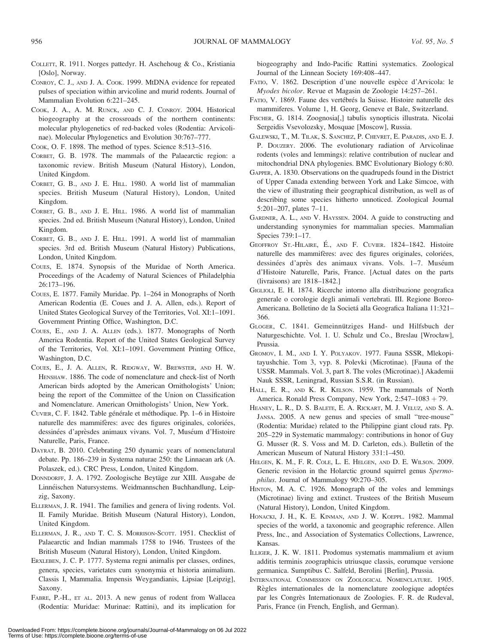- COLLETT, R. 1911. Norges pattedyr. H. Aschehoug & Co., Kristiania [Oslo], Norway.
- CONROY, C. J., AND J. A. COOK. 1999. MtDNA evidence for repeated pulses of speciation within arvicoline and murid rodents. Journal of Mammalian Evolution 6:221–245.
- COOK, J. A., A. M. RUNCK, AND C. J. CONROY. 2004. Historical biogeography at the crossroads of the northern continents: molecular phylogenetics of red-backed voles (Rodentia: Arvicolinae). Molecular Phylogenetics and Evolution 30:767–777.
- COOK, O. F. 1898. The method of types. Science 8:513–516.
- CORBET, G. B. 1978. The mammals of the Palaearctic region: a taxonomic review. British Museum (Natural History), London, United Kingdom.
- CORBET, G. B., AND J. E. HILL. 1980. A world list of mammalian species. British Museum (Natural History), London, United Kingdom.
- CORBET, G. B., AND J. E. HILL. 1986. A world list of mammalian species. 2nd ed. British Museum (Natural History), London, United Kingdom.
- CORBET, G. B., AND J. E. HILL. 1991. A world list of mammalian species. 3rd ed. British Museum (Natural History) Publications, London, United Kingdom.
- COUES, E. 1874. Synopsis of the Muridae of North America. Proceedings of the Academy of Natural Sciences of Philadelphia 26:173–196.
- COUES, E. 1877. Family Muridae. Pp. 1–264 in Monographs of North American Rodentia (E. Coues and J. A. Allen, eds.). Report of United States Geological Survey of the Territories, Vol. XI:1–1091. Government Printing Office, Washington, D.C.
- COUES, E., AND J. A. ALLEN (eds.). 1877. Monographs of North America Rodentia. Report of the United States Geological Survey of the Territories, Vol. XI:1–1091. Government Printing Office, Washington, D.C.
- COUES, E., J. A. ALLEN, R. RIDGWAY, W. BREWSTER, AND H. W. HENSHAW. 1886. The code of nomenclature and check-list of North American birds adopted by the American Ornithologists' Union; being the report of the Committee of the Union on Classification and Nomenclature. American Ornithologists' Union, New York.
- CUVIER, C. F. 1842. Table générale et méthodique. Pp. 1–6 in Histoire naturelle des mammifères: avec des figures originales, coloriées, dessinées d'aprèsdes animaux vivans. Vol. 7, Muséum d'Histoire Naturelle, Paris, France.
- DAYRAT, B. 2010. Celebrating 250 dynamic years of nomenclatural debate. Pp. 186–239 in Systema naturae 250: the Linnaean ark (A. Polaszek, ed.). CRC Press, London, United Kingdom.
- DONNDORFF, J. A. 1792. Zoologische Beytage zur XIII. Ausgabe de ¨ Linnéischen Natursystems. Weidmannschen Buchhandlung, Leipzig, Saxony.
- ELLERMAN, J. R. 1941. The families and genera of living rodents. Vol. II. Family Muridae. British Museum (Natural History), London, United Kingdom.
- ELLERMAN, J. R., AND T. C. S. MORRISON-SCOTT. 1951. Checklist of Palaearctic and Indian mammals 1758 to 1946. Trustees of the British Museum (Natural History), London, United Kingdom.
- ERXLEBEN, J. C. P. 1777. Systema regni animalis per classes, ordines, genera, species, varietates cum synonymia et historia animalium. Classis I, Mammalia. Impensis Weygandianis, Lipsiae [Leipzig], Saxony.
- FABRE, P.-H., ET AL. 2013. A new genus of rodent from Wallacea (Rodentia: Muridae: Murinae: Rattini), and its implication for

biogeography and Indo-Pacific Rattini systematics. Zoological Journal of the Linnean Society 169:408–447.

- FATIO, V. 1862. Description d'une nouvelle espèce d'Arvicola: le Myodes bicolor. Revue et Magasin de Zoologie 14:257–261.
- FATIO, V. 1869. Faune des vertébrés la Suisse. Histoire naturelle des mammiferes. Volume 1, H. Georg, Geneve et Bale, Switzerland.
- FISCHER, G. 1814. Zoognosia[,] tabulis synopticis illustrata. Nicolai Sergeidis Vsevolozsky, Mosquae [Moscow], Russia.
- GALEWSKI, T., M. TILAK, S. SANCHEZ, P. CHEVRET, E. PARADIS, AND E. J. P. DOUZERY. 2006. The evolutionary radiation of Arvicolinae rodents (voles and lemmings): relative contribution of nuclear and mitochondrial DNA phylogenies. BMC Evolutionary Biology 6:80.
- GAPPER, A. 1830. Observations on the quadrupeds found in the District of Upper Canada extending between York and Lake Simcoe, with the view of illustrating their geographical distribution, as well as of describing some species hitherto unnoticed. Zoological Journal 5:201–207, plates 7–11.
- GARDNER, A. L., AND V. HAYSSEN. 2004. A guide to constructing and understanding synonymies for mammalian species. Mammalian Species 739:1–17.
- GEOFFROY ST.-HILAIRE, É., AND F. CUVIER. 1824–1842. Histoire naturelle des mammifères: avec des figures originales, coloriées, dessinées d'après des animaux vivans. Vols. 1-7. Muséum d'Histoire Naturelle, Paris, France. [Actual dates on the parts (livraisons) are 1818–1842.]
- GIGLIOLI, E. H. 1874. Ricerche intorno alla distribuzione geografica generale o corologie degli animali vertebrati. III. Regione Boreo-Americana. Bolletino de la Societá alla Geografica Italiana 11:321– 366.
- GLOGER, C. 1841. Gemeinnütziges Hand- und Hilfsbuch der Naturgeschichte. Vol. 1. U. Schulz und Co., Breslau [Wrocław], Prussia.
- GROMOV, I. M., AND I. Y. POLYAKOV. 1977. Fauna SSSR, Mlekopitayushchie. Tom 3, vyp. 8. Polevki (Microtinae). [Fauna of the USSR. Mammals. Vol. 3, part 8. The voles (Microtinae).] Akademii Nauk SSSR, Leningrad, Russian S.S.R. (in Russian).
- HALL, E. R., AND K. R. KELSON. 1959. The mammals of North America. Ronald Press Company, New York,  $2:547-1083+79$ .
- HEANEY, L. R., D. S. BALETE, E. A. RICKART, M. J. VELUZ, AND S. A. JANSA. 2005. A new genus and species of small ''tree-mouse'' (Rodentia: Muridae) related to the Philippine giant cloud rats. Pp. 205–229 in Systematic mammalogy: contributions in honor of Guy G. Musser (R. S. Voss and M. D. Carleton, eds.). Bulletin of the American Museum of Natural History 331:1–450.
- HELGEN, K. M., F. R. COLE, L. E. HELGEN, AND D. E. WILSON. 2009. Generic revision in the Holarctic ground squirrel genus Spermophilus. Journal of Mammalogy 90:270–305.
- HINTON, M. A. C. 1926. Monograph of the voles and lemmings (Microtinae) living and extinct. Trustees of the British Museum (Natural History), London, United Kingdom.
- HONACKI, J. H., K. E. KINMAN, AND J. W. KOEPPL. 1982. Mammal species of the world, a taxonomic and geographic reference. Allen Press, Inc., and Association of Systematics Collections, Lawrence, Kansas.
- ILLIGER, J. K. W. 1811. Prodomus systematis mammalium et avium additis terminis zoographicis utriusque classis, eorumque versione germanica. Sumptibus C. Salfeld, Berolini [Berlin], Prussia.
- INTERNATIONAL COMMISSION ON ZOOLOGICAL NOMENCLATURE. 1905. Règles internationales de la nomenclature zoologique adoptées par les Congrès Internationaux de Zoologies. F. R. de Rudeval, Paris, France (in French, English, and German).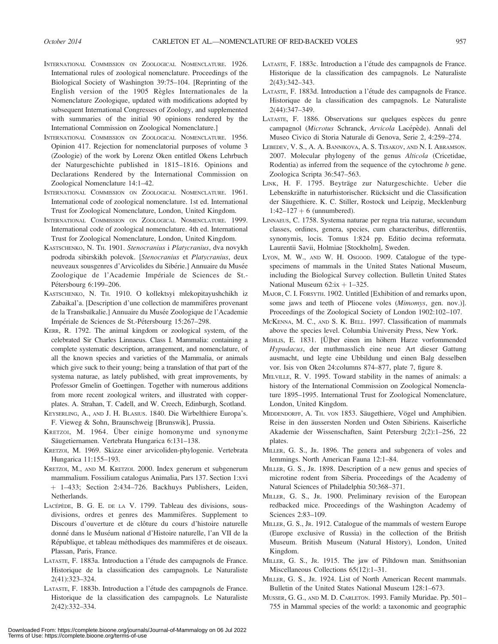- INTERNATIONAL COMMISSION ON ZOOLOGICAL NOMENCLATURE. 1926. International rules of zoological nomenclature. Proceedings of the Biological Society of Washington 39:75–104. [Reprinting of the English version of the 1905 Règles Internationales de la Nomenclature Zoologique, updated with modifications adopted by subsequent International Congresses of Zoology, and supplemented with summaries of the initial 90 opinions rendered by the International Commission on Zoological Nomenclature.]
- INTERNATIONAL COMMISSION ON ZOOLOGICAL NOMENCLATURE. 1956. Opinion 417. Rejection for nomenclatorial purposes of volume 3 (Zoologie) of the work by Lorenz Oken entitled Okens Lehrbuch der Naturgeschichte published in 1815–1816. Opinions and Declarations Rendered by the International Commission on Zoological Nomenclature 14:1–42.
- INTERNATIONAL COMMISSION ON ZOOLOGICAL NOMENCLATURE. 1961. International code of zoological nomenclature. 1st ed. International Trust for Zoological Nomenclature, London, United Kingdom.
- INTERNATIONAL COMMISSION ON ZOOLOGICAL NOMENCLATURE. 1999. International code of zoological nomenclature. 4th ed. International Trust for Zoological Nomenclature, London, United Kingdom.
- KASTSCHENKO, N. TH. 1901. Stenocranius i Platycranius, dva novykh podroda sibirskikh polevok. [Stenocranius et Platycranius, deux neuveaux sousgenres d'Arvicolides du Sibérie.] Annuaire du Musée Zoologique de l'Academie Impériale de Sciences de St.-Pétersbourg 6:199-206.
- KASTSCHENKO, N. TH. 1910. O kollektsyi mlekopitayushchikh iz Zabaikal'a. [Description d'une collection de mammifères provenant de la Transbaïkalie.] Annuaire du Musée Zoologique de l'Academie Impériale de Sciences de St.-Pétersbourg 15:267-298.
- KERR, R. 1792. The animal kingdom or zoological system, of the celebrated Sir Charles Linnaeus. Class I. Mammalia: containing a complete systematic description, arrangement, and nomenclature, of all the known species and varieties of the Mammalia, or animals which give suck to their young; being a translation of that part of the systema naturae, as lately published, with great improvements, by Professor Gmelin of Goettingen. Together with numerous additions from more recent zoological writers, and illustrated with copperplates. A. Strahan, T. Cadell, and W. Creech, Edinburgh, Scotland.
- KEYSERLING, A., AND J. H. BLASIUS. 1840. Die Wirbelthiere Europa's. F. Vieweg & Sohn, Braunschweig [Brunswik], Prussia.
- KRETZOI, M. 1964. Über einige homonyme und synonyme Säugetiernamen. Vertebrata Hungarica 6:131-138.
- KRETZOI, M. 1969. Skizze einer arvicoliden-phylogenie. Vertebrata Hungarica 11:155–193.
- KRETZOI, M., AND M. KRETZOI. 2000. Index generum et subgenerum mammalium. Fossilium catalogus Animalia, Pars 137. Section 1:xvi þ 1–433; Section 2:434–726. Backhuys Publishers, Leiden, Netherlands.
- LACÉPÈDE, B. G. E. DE LA V. 1799. Tableau des divisions, sousdivisions, ordres et genres des Mammifères. Supplement to Discours d'ouverture et de clôture du cours d'histoire naturelle donné dans le Muséum national d'Histoire naturelle, l'an VII de la République, et tableau méthodiques des mammifères et de oiseaux. Plassan, Paris, France.
- LATASTE, F. 1883a. Introduction a l'étude des campagnols de France. Historique de la classification des campagnols. Le Naturaliste 2(41):323–324.
- LATASTE, F. 1883b. Introduction a l'étude des campagnols de France. Historique de la classification des campagnols. Le Naturaliste 2(42):332–334.
- LATASTE, F. 1883c. Introduction a l'étude des campagnols de France. Historique de la classification des campagnols. Le Naturaliste 2(43):342–343.
- LATASTE, F. 1883d. Introduction a l'étude des campagnols de France. Historique de la classification des campagnols. Le Naturaliste 2(44):347–349.
- LATASTE, F. 1886. Observations sur quelques espèces du genre campagnol (Microtus Schranck, Arvicola Lacépède). Annali del Museo Civico di Storia Naturale di Genova, Serie 2, 4:259–274.
- LEBEDEV, V. S., A. A. BANNIKOVA, A. S. TESAKOV, AND N. I. ABRAMSON. 2007. Molecular phylogeny of the genus Alticola (Cricetidae, Rodentia) as inferred from the sequence of the cytochrome b gene. Zoologica Scripta 36:547–563.
- LINK, H. F. 1795. Beyträge zur Naturgeschichte. Ueber die Lebenskräfte in naturhistorischer. Rücksicht und die Classification der Säugethiere. K. C. Stiller, Rostock und Leipzig, Mecklenburg  $1:42-127 + 6$  (unnumbered).
- LINNAEUS, C. 1758. Systema naturae per regna tria naturae, secundum classes, ordines, genera, species, cum characteribus, differentiis, synonymis, locis. Tomus 1:824 pp. Editio decima reformata. Laurentii Savii, Holmiae [Stockholm], Sweden.
- LYON, M. W., AND W. H. OSGOOD. 1909. Catalogue of the typespecimens of mammals in the United States National Museum, including the Biological Survey collection. Bulletin United States National Museum  $62$ :ix  $+ 1-325$ .
- MAJOR, C. I. FORSYTH. 1902. Untitled [Exhibition of and remarks upon, some jaws and teeth of Pliocene voles (Mimomys, gen. nov.)]. Proceedings of the Zoological Society of London 1902:102–107.
- MCKENNA, M. C., AND S. K. BELL. 1997. Classification of mammals above the species level. Columbia University Press, New York.
- MEHLIS, E. 1831. [Ü]ber einen im höhern Harze vorfommended Hypudacus, der muthmasslich eine neue Art dieser Gattung ausmacht, und legte eine Ubbildung und einen Balg desselben vor. Isis von Oken 24:columns 874–877, plate 7, figure 8.
- MELVILLE, R. V. 1995. Toward stability in the names of animals: a history of the International Commission on Zoological Nomenclature 1895–1995. International Trust for Zoological Nomenclature, London, United Kingdom.
- MIDDENDORFF, A. TH. VON 1853. Säugethiere, Vögel und Amphibien. Reise in den äussersten Norden und Osten Sibiriens. Kaiserliche Akademie der Wissenschaften, Saint Petersburg 2(2):1–256, 22 plates.
- MILLER, G. S., JR. 1896. The genera and subgenera of voles and lemmings. North American Fauna 12:1–84.
- MILLER, G. S., JR. 1898. Description of a new genus and species of microtine rodent from Siberia. Proceedings of the Academy of Natural Sciences of Philadelphia 50:368–371.
- MILLER, G. S., JR. 1900. Preliminary revision of the European redbacked mice. Proceedings of the Washington Academy of Sciences 2:83–109.
- MILLER, G. S., JR. 1912. Catalogue of the mammals of western Europe (Europe exclusive of Russia) in the collection of the British Museum. British Museum (Natural History), London, United Kingdom.
- MILLER, G. S., JR. 1915. The jaw of Piltdown man. Smithsonian Miscellaneous Collections 65(12):1–31.
- MILLER, G. S., JR. 1924. List of North American Recent mammals. Bulletin of the United States National Museum 128:1–673.
- MUSSER, G. G., AND M. D. CARLETON. 1993. Family Muridae. Pp. 501– 755 in Mammal species of the world: a taxonomic and geographic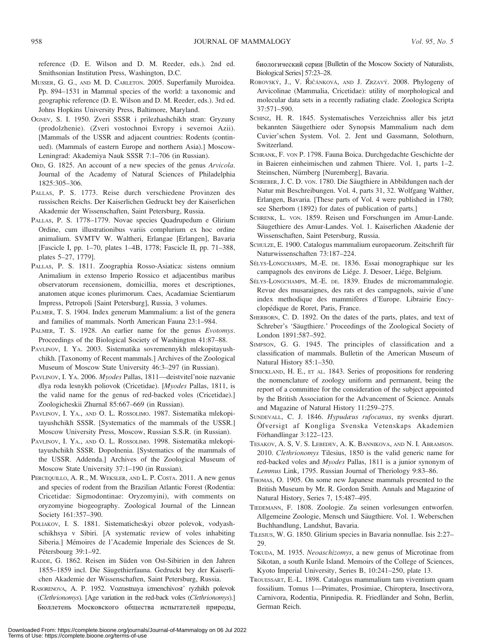reference (D. E. Wilson and D. M. Reeder, eds.). 2nd ed. Smithsonian Institution Press, Washington, D.C.

- MUSSER, G. G., AND M. D. CARLETON. 2005. Superfamily Muroidea. Pp. 894–1531 in Mammal species of the world: a taxonomic and geographic reference (D. E. Wilson and D. M. Reeder, eds.). 3rd ed. Johns Hopkins University Press, Baltimore, Maryland.
- OGNEV, S. I. 1950. Zveri SSSR i prilezhashchikh stran: Gryzuny (prodolzhenie). (Zveri vostochnoi Evropy i severnoi Azii). [Mammals of the USSR and adjacent countries: Rodents (continued). (Mammals of eastern Europe and northern Asia).] Moscow-Leningrad: Akademiya Nauk SSSR 7:1–706 (in Russian).
- ORD, G. 1825. An account of a new species of the genus Arvicola. Journal of the Academy of Natural Sciences of Philadelphia 1825:305–306.
- PALLAS, P. S. 1773. Reise durch verschiedene Provinzen des russischen Reichs. Der Kaiserlichen Gedruckt bey der Kaiserlichen Akademie der Wissenschaften, Saint Petersburg, Russia.
- PALLAS, P. S. 1778–1779. Novae species Quadrupedum e Glirium Ordine, cum illustrationibus variis complurium ex hoc ordine animalium. SVMTV W. Waltheri, Erlangae [Erlangen], Bavaria [Fascicle I, pp. 1–70, plates 1–4B, 1778; Fascicle II, pp. 71–388, plates 5–27, 1779].
- PALLAS, P. S. 1811. Zoographia Rosso-Asiatica: sistens omnium Animalium in extenso Imperio Rossico et adjacentibus maribus observatorum recensionem, domicillia, mores et descriptiones, anatomen atque icones plurimorum. Caes, Acadamiae Scientiarum Impress, Petropoli [Saint Petersburg], Russia, 3 volumes.
- PALMER, T. S. 1904. Index generum Mammalium: a list of the genera and families of mammals. North American Fauna 23:1–984.
- PALMER, T. S. 1928. An earlier name for the genus Evotomys. Proceedings of the Biological Society of Washington 41:87–88.
- PAVLINOV, I. YA. 2003. Sistematika sovremennykh mlekopitayushchikh. [Taxonomy of Recent mammals.] Archives of the Zoological Museum of Moscow State University 46:3–297 (in Russian).
- PAVLINOV, I. YA. 2006. Myodes Pallas, 1811—deistvitel'noie nazvanie dlya roda lesnykh poliovok (Cricetidae). [Myodes Pallas, 1811, is the valid name for the genus of red-backed voles (Cricetidae).] Zoologicheskii Zhurnal 85:667–669 (in Russian).
- PAVLINOV, I. YA., AND O. L. ROSSOLIMO. 1987. Sistematika mlekopitayushchikh SSSR. [Systematics of the mammals of the USSR.] Moscow University Press, Moscow, Russian S.S.R. (in Russian).
- PAVLINOV, I. YA., AND O. L. ROSSOLIMO. 1998. Sistematika mlekopitayushchikh SSSR. Dopolnenia. [Systematics of the mammals of the USSR. Addenda.] Archives of the Zoological Museum of Moscow State University 37:1–190 (in Russian).
- PERCEQUILLO, A. R., M. WEKSLER, AND L. P. COSTA. 2011. A new genus and species of rodent from the Brazilian Atlantic Forest (Rodentia: Cricetidae: Sigmodontinae: Oryzomyini), with comments on oryzomyine biogeography. Zoological Journal of the Linnean Society 161:357–390.
- POLIAKOV, I. S. 1881. Sistematicheskyi obzor polevok, vodyashschikhsya v Sibiri. [A systematic review of voles inhabiting Siberia.] Mémoires de l'Academie Imperiale des Sciences de St. Pétersbourg 39:1-92.
- RADDE, G. 1862. Reisen im Süden von Ost-Sibirien in den Jahren 1855–1859 incl. Die Säugethierfauna. Gedruckt bey der Kaiserlichen Akademie der Wissenschaften, Saint Petersburg, Russia.
- RASORENOVA, A. P. 1952. Vozrastnaya izmenchivost' ryzhikh polevok (Clethrionomys). [Age variation in the red-back voles (Clethrionomys).] Бюллетень Московского общества испытателей природы,

биологический серии [Bulletin of the Moscow Society of Naturalists, Biological Series] 57:23–28.

- ROBOVSKÝ, J., V. ŘIČÁNKOVÁ, AND J. ZRZAVÝ. 2008. Phylogeny of Arvicolinae (Mammalia, Cricetidae): utility of morphological and molecular data sets in a recently radiating clade. Zoologica Scripta 37:571–590.
- SCHINZ, H. R. 1845. Systematisches Verzeichniss aller bis jetzt bekannten Säugethiere oder Synopsis Mammalium nach dem Cuvier'schen System. Vol. 2. Jent und Gassmann, Solothurn, Switzerland.
- SCHRANK, F. VON P. 1798. Fauna Boica. Durchgedachte Geschichte der in Baieren einheimischen und zahmen Thiere. Vol. 1, parts 1–2. Steinschen, Nürnberg [Nuremberg], Bavaria.
- SCHREBER, J. C. D. von. 1780. Die Säugthiere in Abbildungen nach der Natur mit Beschreibungen. Vol. 4, parts 31, 32. Wolfgang Walther, Erlangen, Bavaria. [These parts of Vol. 4 were published in 1780; see Sherborn (1892) for dates of publication of parts.]
- SCHRENK, L. VON. 1859. Reisen und Forschungen im Amur-Lande. Säugethiere des Amur-Landes. Vol. 1. Kaiserlichen Akadenie der Wissenschaften, Saint Petersburg, Russia.
- SCHULZE, E. 1900. Catalogus mammalium europaeorum. Zeitschrift fur¨ Naturwissenschaften 73:187–224.
- SÉLYS-LONGCHAMPS, M.-E. DE. 1836. Essai monographique sur les campagnols des environs de Liége. J. Desoer, Liége, Belgium.
- SÉLYS-LONGCHAMPS, M.-E. DE. 1839. Etudes de micromammalogie. Revue des musaraignes, des rats et des campagnols, suivie d'une index methodique des mammifères d'Europe. Librairie Encyclopedique de Roret, Paris, France. ´
- SHERBORN, C. D. 1892. On the dates of the parts, plates, and text of Schreber's 'Säugthiere.' Proceedings of the Zoological Society of London 1891:587–592.
- SIMPSON, G. G. 1945. The principles of classification and a classification of mammals. Bulletin of the American Museum of Natural History 85:1–350.
- STRICKLAND, H. E., ET AL. 1843. Series of propositions for rendering the nomenclature of zoology uniform and permanent, being the report of a committee for the consideration of the subject appointed by the British Association for the Advancement of Science. Annals and Magazine of Natural History 11:259–275.
- SUNDEVALL, C. J. 1846. Hypudæus rufocanus, ny svenks djurart. Ofversigt af Kongliga Svenska Vetenskaps Akademien ¨ Förhandlingar 3:122–123.
- TESAKOV, A. S, V. S. LEBEDEV, A. K. BANNIKOVA, AND N. I. ABRAMSON. 2010. Clethrionomys Tilesius, 1850 is the valid generic name for red-backed voles and Myodes Pallas, 1811 is a junior synonym of Lemmus Link, 1795. Russian Journal of Theriology 9:83–86.
- THOMAS, O. 1905. On some new Japanese mammals presented to the British Museum by Mr. R. Gordon Smith. Annals and Magazine of Natural History, Series 7, 15:487–495.
- TIEDEMANN, F. 1808. Zoologie. Zu seinen vorlesungen entworfen. Allgemeine Zoologie, Mensch und Säugthiere. Vol. 1. Weberschen Buchhandlung, Landshut, Bavaria.
- TILESIUS, W. G. 1850. Glirium species in Bavaria nonnullae. Isis 2:27– 29.
- TOKUDA, M. 1935. Neoaschizomys, a new genus of Microtinae from Sikotan, a south Kurile Island. Memoirs of the College of Sciences, Kyoto Imperial University, Series B, 10:241–250, plate 13.
- TROUESSART, E.-L. 1898. Catalogus mammalium tam viventium quam fossilium. Tomus 1—Primates, Prosimiae, Chiroptera, Insectivora, Carnivora, Rodentia, Pinnipedia. R. Friedländer and Sohn, Berlin, German Reich.